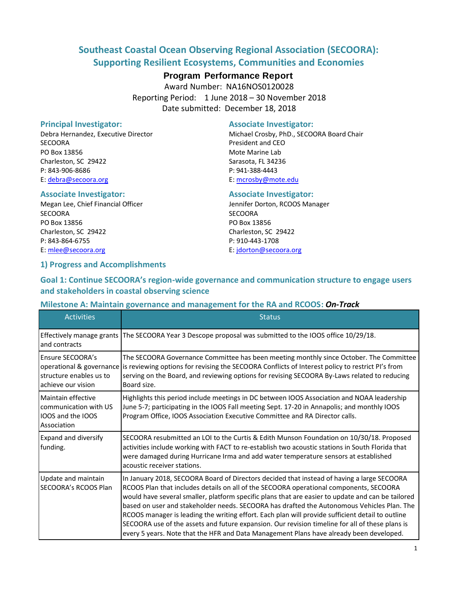## **Southeast Coastal Ocean Observing Regional Association (SECOORA): Supporting Resilient Ecosystems, Communities and Economies**

## **Program Performance Report**

Award Number: NA16NOS0120028 Reporting Period: 1 June 2018 – 30 November 2018 Date submitted: December 18, 2018

SECOORA **President and CEO** PO Box 13856 Mote Marine Lab Charleston, SC 29422 Sarasota, FL 34236 P: 843-906-8686 P: 941-388-4443 E: [debra@secoora.org](mailto:debra@secoora.org) E: [mcrosby@mote.edu](mailto:qwhite@ju.edu)

### **Associate Investigator: Associate Investigator:**

Megan Lee, Chief Financial Officer **Jennifer Dorton, RCOOS Manager** Jennifer Dorton, RCOOS Manager SECOORA SECOORA PO Box 13856 PO Box 13856 Charleston, SC 29422 Charleston, SC 29422 P: 843-864-6755 P: 910-443-1708 E[: mlee@secoora.org](mailto:mlee@secoora.org) E: [jdorton@secoora.org](mailto:jdorton@secoora.org)

### **1) Progress and Accomplishments**

#### **Principal Investigator:** Associate Investigator:

Debra Hernandez, Executive Director **Michael Crosby, PhD., SECOORA Board Chair** 

## **Goal 1: Continue SECOORA's region-wide governance and communication structure to engage users and stakeholders in coastal observing science**

### **Milestone A: Maintain governance and management for the RA and RCOOS:** *On-Track*

| <b>Activities</b>                                                               | <b>Status</b>                                                                                                                                                                                                                                                                                                                                                                                                                                                                                                                                                                                                                                                                             |
|---------------------------------------------------------------------------------|-------------------------------------------------------------------------------------------------------------------------------------------------------------------------------------------------------------------------------------------------------------------------------------------------------------------------------------------------------------------------------------------------------------------------------------------------------------------------------------------------------------------------------------------------------------------------------------------------------------------------------------------------------------------------------------------|
| Effectively manage grants<br>and contracts                                      | The SECOORA Year 3 Descope proposal was submitted to the IOOS office 10/29/18.                                                                                                                                                                                                                                                                                                                                                                                                                                                                                                                                                                                                            |
| <b>Ensure SECOORA's</b><br>structure enables us to<br>achieve our vision        | The SECOORA Governance Committee has been meeting monthly since October. The Committee<br>operational & governance is reviewing options for revising the SECOORA Conflicts of Interest policy to restrict PI's from<br>serving on the Board, and reviewing options for revising SECOORA By-Laws related to reducing<br>Board size.                                                                                                                                                                                                                                                                                                                                                        |
| Maintain effective<br>communication with US<br>IOOS and the IOOS<br>Association | Highlights this period include meetings in DC between IOOS Association and NOAA leadership<br>June 5-7; participating in the IOOS Fall meeting Sept. 17-20 in Annapolis; and monthly IOOS<br>Program Office, IOOS Association Executive Committee and RA Director calls.                                                                                                                                                                                                                                                                                                                                                                                                                  |
| <b>Expand and diversify</b><br>funding.                                         | SECOORA resubmitted an LOI to the Curtis & Edith Munson Foundation on 10/30/18. Proposed<br>activities include working with FACT to re-establish two acoustic stations in South Florida that<br>were damaged during Hurricane Irma and add water temperature sensors at established<br>acoustic receiver stations.                                                                                                                                                                                                                                                                                                                                                                        |
| Update and maintain<br><b>SECOORA's RCOOS Plan</b>                              | In January 2018, SECOORA Board of Directors decided that instead of having a large SECOORA<br>RCOOS Plan that includes details on all of the SECOORA operational components, SECOORA<br>would have several smaller, platform specific plans that are easier to update and can be tailored<br>based on user and stakeholder needs. SECOORA has drafted the Autonomous Vehicles Plan. The<br>RCOOS manager is leading the writing effort. Each plan will provide sufficient detail to outline<br>SECOORA use of the assets and future expansion. Our revision timeline for all of these plans is<br>every 5 years. Note that the HFR and Data Management Plans have already been developed. |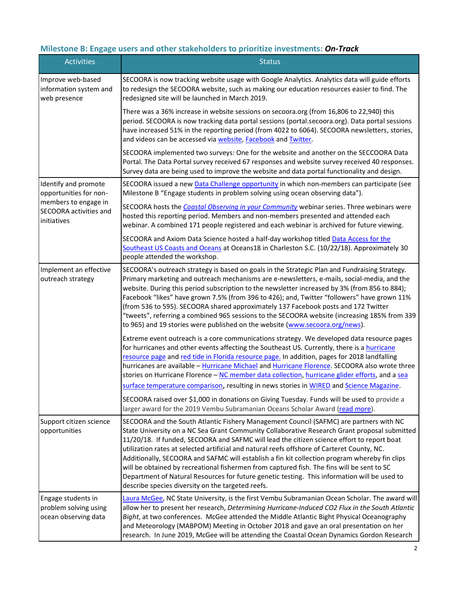## **Milestone B: Engage users and other stakeholders to prioritize investments:** *On-Track*

| <b>Activities</b>                                                   | <b>Status</b>                                                                                                                                                                                                                                                                                                                                                                                                                                                                                                                                                                                                                                                                                                                           |
|---------------------------------------------------------------------|-----------------------------------------------------------------------------------------------------------------------------------------------------------------------------------------------------------------------------------------------------------------------------------------------------------------------------------------------------------------------------------------------------------------------------------------------------------------------------------------------------------------------------------------------------------------------------------------------------------------------------------------------------------------------------------------------------------------------------------------|
| Improve web-based<br>information system and<br>web presence         | SECOORA is now tracking website usage with Google Analytics. Analytics data will guide efforts<br>to redesign the SECOORA website, such as making our education resources easier to find. The<br>redesigned site will be launched in March 2019.                                                                                                                                                                                                                                                                                                                                                                                                                                                                                        |
|                                                                     | There was a 36% increase in website sessions on secoora.org (from 16,806 to 22,940) this<br>period. SECOORA is now tracking data portal sessions (portal.secoora.org). Data portal sessions<br>have increased 51% in the reporting period (from 4022 to 6064). SECOORA newsletters, stories,<br>and videos can be accessed via website, Facebook and Twitter.                                                                                                                                                                                                                                                                                                                                                                           |
|                                                                     | SECOORA implemented two surveys: One for the website and another on the SECCOORA Data<br>Portal. The Data Portal survey received 67 responses and website survey received 40 responses.<br>Survey data are being used to improve the website and data portal functionality and design.                                                                                                                                                                                                                                                                                                                                                                                                                                                  |
| Identify and promote<br>opportunities for non-                      | SECOORA issued a new Data Challenge opportunity in which non-members can participate (see<br>Milestone B "Engage students in problem solving using ocean observing data").                                                                                                                                                                                                                                                                                                                                                                                                                                                                                                                                                              |
| members to engage in<br>SECOORA activities and<br>initiatives       | SECOORA hosts the Coastal Observing in your Community webinar series. Three webinars were<br>hosted this reporting period. Members and non-members presented and attended each<br>webinar. A combined 171 people registered and each webinar is archived for future viewing.                                                                                                                                                                                                                                                                                                                                                                                                                                                            |
|                                                                     | SECOORA and Axiom Data Science hosted a half-day workshop titled Data Access for the<br>Southeast US Coasts and Oceans at Oceans18 in Charleston S.C. (10/22/18). Approximately 30<br>people attended the workshop.                                                                                                                                                                                                                                                                                                                                                                                                                                                                                                                     |
| Implement an effective<br>outreach strategy                         | SECOORA's outreach strategy is based on goals in the Strategic Plan and Fundraising Strategy.<br>Primary marketing and outreach mechanisms are e-newsletters, e-mails, social-media, and the<br>website. During this period subscription to the newsletter increased by 3% (from 856 to 884);<br>Facebook "likes" have grown 7.5% (from 396 to 426); and, Twitter "followers" have grown 11%<br>(from 536 to 595). SECOORA shared approximately 137 Facebook posts and 172 Twitter<br>"tweets", referring a combined 965 sessions to the SECOORA website (increasing 185% from 339<br>to 965) and 19 stories were published on the website (www.secoora.org/news).                                                                      |
|                                                                     | Extreme event outreach is a core communications strategy. We developed data resource pages<br>for hurricanes and other events affecting the Southeast US. Currently, there is a hurricane<br>resource page and red tide in Florida resource page. In addition, pages for 2018 landfalling<br>hurricanes are available - Hurricane Michael and Hurricane Florence. SECOORA also wrote three<br>stories on Hurricane Florence - NC member data collection, hurricane glider efforts, and a sea<br>surface temperature comparison, resulting in news stories in WIRED and Science Magazine.                                                                                                                                                |
|                                                                     | SECOORA raised over \$1,000 in donations on Giving Tuesday. Funds will be used to provide a<br>larger award for the 2019 Vembu Subramanian Oceans Scholar Award (read more).                                                                                                                                                                                                                                                                                                                                                                                                                                                                                                                                                            |
| Support citizen science<br>opportunities                            | SECOORA and the South Atlantic Fishery Management Council (SAFMC) are partners with NC<br>State University on a NC Sea Grant Community Collaborative Research Grant proposal submitted<br>11/20/18. If funded, SECOORA and SAFMC will lead the citizen science effort to report boat<br>utilization rates at selected artificial and natural reefs offshore of Carteret County, NC.<br>Additionally, SECOORA and SAFMC will establish a fin kit collection program whereby fin clips<br>will be obtained by recreational fishermen from captured fish. The fins will be sent to SC<br>Department of Natural Resources for future genetic testing. This information will be used to<br>describe species diversity on the targeted reefs. |
| Engage students in<br>problem solving using<br>ocean observing data | Laura McGee, NC State University, is the first Vembu Subramanian Ocean Scholar. The award will<br>allow her to present her research, Determining Hurricane-Induced CO2 Flux in the South Atlantic<br>Bight, at two conferences. McGee attended the Middle Atlantic Bight Physical Oceanography<br>and Meteorology (MABPOM) Meeting in October 2018 and gave an oral presentation on her<br>research. In June 2019, McGee will be attending the Coastal Ocean Dynamics Gordon Research                                                                                                                                                                                                                                                   |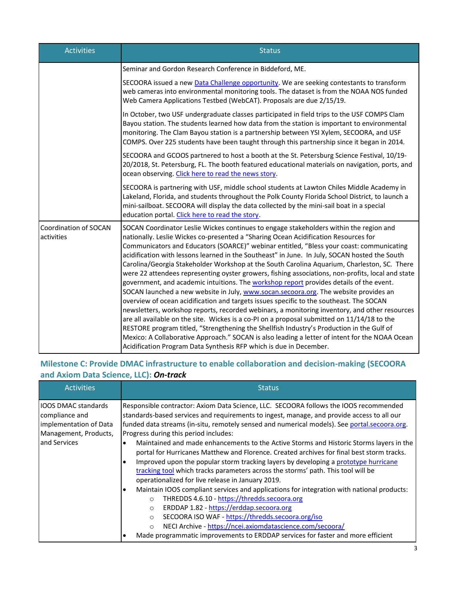| <b>Activities</b>                   | <b>Status</b>                                                                                                                                                                                                                                                                                                                                                                                                                                                                                                                                                                                                                                                                                                                                                                                                                                                                                                                                                                                                                                                                                                                                                                                                                                                                                                                     |  |  |
|-------------------------------------|-----------------------------------------------------------------------------------------------------------------------------------------------------------------------------------------------------------------------------------------------------------------------------------------------------------------------------------------------------------------------------------------------------------------------------------------------------------------------------------------------------------------------------------------------------------------------------------------------------------------------------------------------------------------------------------------------------------------------------------------------------------------------------------------------------------------------------------------------------------------------------------------------------------------------------------------------------------------------------------------------------------------------------------------------------------------------------------------------------------------------------------------------------------------------------------------------------------------------------------------------------------------------------------------------------------------------------------|--|--|
|                                     | Seminar and Gordon Research Conference in Biddeford, ME.                                                                                                                                                                                                                                                                                                                                                                                                                                                                                                                                                                                                                                                                                                                                                                                                                                                                                                                                                                                                                                                                                                                                                                                                                                                                          |  |  |
|                                     | SECOORA issued a new Data Challenge opportunity. We are seeking contestants to transform<br>web cameras into environmental monitoring tools. The dataset is from the NOAA NOS funded<br>Web Camera Applications Testbed (WebCAT). Proposals are due 2/15/19.                                                                                                                                                                                                                                                                                                                                                                                                                                                                                                                                                                                                                                                                                                                                                                                                                                                                                                                                                                                                                                                                      |  |  |
|                                     | In October, two USF undergraduate classes participated in field trips to the USF COMPS Clam<br>Bayou station. The students learned how data from the station is important to environmental<br>monitoring. The Clam Bayou station is a partnership between YSI Xylem, SECOORA, and USF<br>COMPS. Over 225 students have been taught through this partnership since it began in 2014.                                                                                                                                                                                                                                                                                                                                                                                                                                                                                                                                                                                                                                                                                                                                                                                                                                                                                                                                               |  |  |
|                                     | SECOORA and GCOOS partnered to host a booth at the St. Petersburg Science Festival, 10/19-<br>20/2018, St. Petersburg, FL. The booth featured educational materials on navigation, ports, and<br>ocean observing. Click here to read the news story.                                                                                                                                                                                                                                                                                                                                                                                                                                                                                                                                                                                                                                                                                                                                                                                                                                                                                                                                                                                                                                                                              |  |  |
|                                     | SECOORA is partnering with USF, middle school students at Lawton Chiles Middle Academy in<br>Lakeland, Florida, and students throughout the Polk County Florida School District, to launch a<br>mini-sailboat. SECOORA will display the data collected by the mini-sail boat in a special<br>education portal. Click here to read the story.                                                                                                                                                                                                                                                                                                                                                                                                                                                                                                                                                                                                                                                                                                                                                                                                                                                                                                                                                                                      |  |  |
| Coordination of SOCAN<br>activities | SOCAN Coordinator Leslie Wickes continues to engage stakeholders within the region and<br>nationally. Leslie Wickes co-presented a "Sharing Ocean Acidification Resources for<br>Communicators and Educators (SOARCE)" webinar entitled, "Bless your coast: communicating<br>acidification with lessons learned in the Southeast" in June. In July, SOCAN hosted the South<br>Carolina/Georgia Stakeholder Workshop at the South Carolina Aquarium, Charleston, SC. There<br>were 22 attendees representing oyster growers, fishing associations, non-profits, local and state<br>government, and academic intuitions. The workshop report provides details of the event.<br>SOCAN launched a new website in July, www.socan.secoora.org. The website provides an<br>overview of ocean acidification and targets issues specific to the southeast. The SOCAN<br>newsletters, workshop reports, recorded webinars, a monitoring inventory, and other resources<br>are all available on the site. Wickes is a co-PI on a proposal submitted on 11/14/18 to the<br>RESTORE program titled, "Strengthening the Shellfish Industry's Production in the Gulf of<br>Mexico: A Collaborative Approach." SOCAN is also leading a letter of intent for the NOAA Ocean<br>Acidification Program Data Synthesis RFP which is due in December. |  |  |

## **Milestone C: Provide DMAC infrastructure to enable collaboration and decision-making (SECOORA and Axiom Data Science, LLC):** *On-track*

| <b>Activities</b>                                                                                               | <b>Status</b>                                                                                                                                                                                                                                                                                                                                                                                                                                                                                                                                                                                                                                                                                                                                                                                                                                                                                                                                                                                                                                                                                                                                                                                   |
|-----------------------------------------------------------------------------------------------------------------|-------------------------------------------------------------------------------------------------------------------------------------------------------------------------------------------------------------------------------------------------------------------------------------------------------------------------------------------------------------------------------------------------------------------------------------------------------------------------------------------------------------------------------------------------------------------------------------------------------------------------------------------------------------------------------------------------------------------------------------------------------------------------------------------------------------------------------------------------------------------------------------------------------------------------------------------------------------------------------------------------------------------------------------------------------------------------------------------------------------------------------------------------------------------------------------------------|
| <b>IOOS DMAC standards</b><br>compliance and<br>implementation of Data<br>Management, Products,<br>and Services | Responsible contractor: Axiom Data Science, LLC. SECOORA follows the IOOS recommended<br>standards-based services and requirements to ingest, manage, and provide access to all our<br>funded data streams (in-situ, remotely sensed and numerical models). See portal.secoora.org.<br>Progress during this period includes:<br>Maintained and made enhancements to the Active Storms and Historic Storms layers in the<br>portal for Hurricanes Matthew and Florence. Created archives for final best storm tracks.<br>Improved upon the popular storm tracking layers by developing a prototype hurricane<br>tracking tool which tracks parameters across the storms' path. This tool will be<br>operationalized for live release in January 2019.<br>Maintain IOOS compliant services and applications for integration with national products:<br>THREDDS 4.6.10 - https://thredds.secoora.org<br>$\Omega$<br>ERDDAP 1.82 - https://erddap.secoora.org<br>$\circ$<br>SECOORA ISO WAF - https://thredds.secoora.org/iso<br>$\circ$<br>NECI Archive - https://ncei.axiomdatascience.com/secoora/<br>$\circ$<br>Made programmatic improvements to ERDDAP services for faster and more efficient |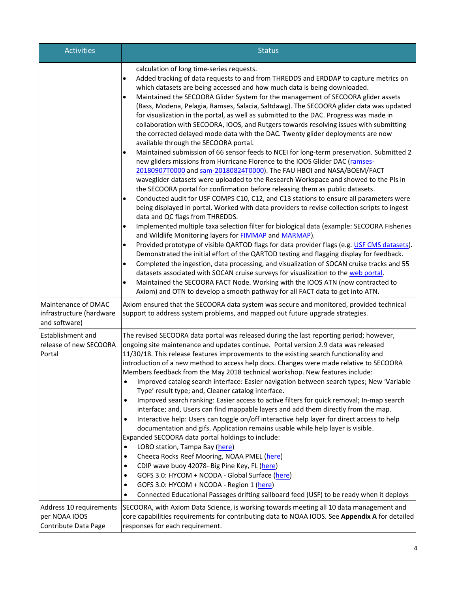| <b>Activities</b>                                                | <b>Status</b>                                                                                                                                                                                                                                                                                                                                                                                                                                                                                                                                                                                                                                                                                                                                                                                                                                                                                                                                                                                                                                                                                                                                                                                                                                                                                                                                                                                                                                                                                                                                                                                                                                                                                                                                                                                                                                                                            |
|------------------------------------------------------------------|------------------------------------------------------------------------------------------------------------------------------------------------------------------------------------------------------------------------------------------------------------------------------------------------------------------------------------------------------------------------------------------------------------------------------------------------------------------------------------------------------------------------------------------------------------------------------------------------------------------------------------------------------------------------------------------------------------------------------------------------------------------------------------------------------------------------------------------------------------------------------------------------------------------------------------------------------------------------------------------------------------------------------------------------------------------------------------------------------------------------------------------------------------------------------------------------------------------------------------------------------------------------------------------------------------------------------------------------------------------------------------------------------------------------------------------------------------------------------------------------------------------------------------------------------------------------------------------------------------------------------------------------------------------------------------------------------------------------------------------------------------------------------------------------------------------------------------------------------------------------------------------|
|                                                                  | calculation of long time-series requests.<br>Added tracking of data requests to and from THREDDS and ERDDAP to capture metrics on<br>$\bullet$<br>which datasets are being accessed and how much data is being downloaded.<br>Maintained the SECOORA Glider System for the management of SECOORA glider assets<br>$\bullet$<br>(Bass, Modena, Pelagia, Ramses, Salacia, Saltdawg). The SECOORA glider data was updated<br>for visualization in the portal, as well as submitted to the DAC. Progress was made in<br>collaboration with SECOORA, IOOS, and Rutgers towards resolving issues with submitting<br>the corrected delayed mode data with the DAC. Twenty glider deployments are now<br>available through the SECOORA portal.<br>Maintained submission of 66 sensor feeds to NCEI for long-term preservation. Submitted 2<br>new gliders missions from Hurricane Florence to the IOOS Glider DAC (ramses-<br>20180907T0000 and sam-20180824T0000). The FAU HBOI and NASA/BOEM/FACT<br>waveglider datasets were uploaded to the Research Workspace and showed to the PIs in<br>the SECOORA portal for confirmation before releasing them as public datasets.<br>Conducted audit for USF COMPS C10, C12, and C13 stations to ensure all parameters were<br>being displayed in portal. Worked with data providers to revise collection scripts to ingest<br>data and QC flags from THREDDS.<br>Implemented multiple taxa selection filter for biological data (example: SECOORA Fisheries<br>$\bullet$<br>and Wildlife Monitoring layers for FIMMAP and MARMAP).<br>Provided prototype of visible QARTOD flags for data provider flags (e.g. USF CMS datasets).<br>$\bullet$<br>Demonstrated the initial effort of the QARTOD testing and flagging display for feedback.<br>Completed the ingestion, data processing, and visualization of SOCAN cruise tracks and 55<br>$\bullet$ |
|                                                                  | datasets associated with SOCAN cruise surveys for visualization to the web portal.<br>Maintained the SECOORA FACT Node. Working with the IOOS ATN (now contracted to<br>$\bullet$<br>Axiom) and OTN to develop a smooth pathway for all FACT data to get into ATN.                                                                                                                                                                                                                                                                                                                                                                                                                                                                                                                                                                                                                                                                                                                                                                                                                                                                                                                                                                                                                                                                                                                                                                                                                                                                                                                                                                                                                                                                                                                                                                                                                       |
| Maintenance of DMAC<br>infrastructure (hardware<br>and software) | Axiom ensured that the SECOORA data system was secure and monitored, provided technical<br>support to address system problems, and mapped out future upgrade strategies.                                                                                                                                                                                                                                                                                                                                                                                                                                                                                                                                                                                                                                                                                                                                                                                                                                                                                                                                                                                                                                                                                                                                                                                                                                                                                                                                                                                                                                                                                                                                                                                                                                                                                                                 |
| <b>Establishment and</b><br>release of new SECOORA<br>Portal     | The revised SECOORA data portal was released during the last reporting period; however,<br>ongoing site maintenance and updates continue. Portal version 2.9 data was released<br>11/30/18. This release features improvements to the existing search functionality and<br>introduction of a new method to access help docs. Changes were made relative to SECOORA<br>Members feedback from the May 2018 technical workshop. New features include:<br>Improved catalog search interface: Easier navigation between search types; New 'Variable<br>$\bullet$<br>Type' result type; and, Cleaner catalog interface.<br>Improved search ranking: Easier access to active filters for quick removal; In-map search<br>٠<br>interface; and, Users can find mappable layers and add them directly from the map.<br>Interactive help: Users can toggle on/off interactive help layer for direct access to help<br>documentation and gifs. Application remains usable while help layer is visible.<br>Expanded SECOORA data portal holdings to include:<br>LOBO station, Tampa Bay (here)<br>Cheeca Rocks Reef Mooring, NOAA PMEL (here)<br>٠<br>CDIP wave buoy 42078- Big Pine Key, FL (here)<br>٠<br>GOFS 3.0: HYCOM + NCODA - Global Surface (here)<br>$\bullet$<br>GOFS 3.0: HYCOM + NCODA - Region 1 (here)<br>٠<br>Connected Educational Passages drifting sailboard feed (USF) to be ready when it deploys<br>٠                                                                                                                                                                                                                                                                                                                                                                                                                                                                           |
| Address 10 requirements<br>per NOAA IOOS<br>Contribute Data Page | SECOORA, with Axiom Data Science, is working towards meeting all 10 data management and<br>core capabilities requirements for contributing data to NOAA IOOS. See Appendix A for detailed<br>responses for each requirement.                                                                                                                                                                                                                                                                                                                                                                                                                                                                                                                                                                                                                                                                                                                                                                                                                                                                                                                                                                                                                                                                                                                                                                                                                                                                                                                                                                                                                                                                                                                                                                                                                                                             |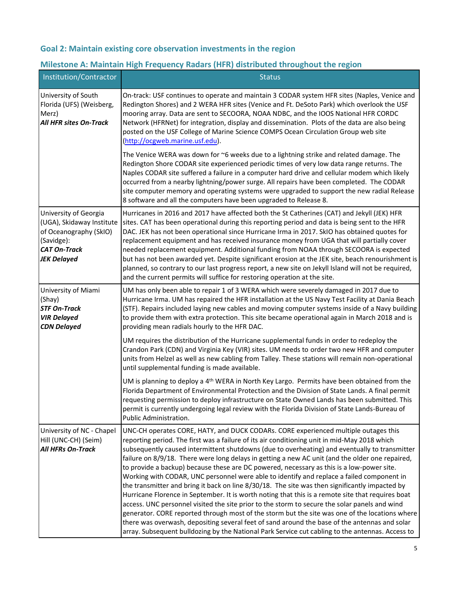## **Goal 2: Maintain existing core observation investments in the region**

## **Milestone A: Maintain High Frequency Radars (HFR) distributed throughout the region**

| Institution/Contractor                                                                                                                  | <b>Status</b>                                                                                                                                                                                                                                                                                                                                                                                                                                                                                                                                                                                                                                                                                                                                                                                                                                                                                                                                                                                                                                                                                                                                                                                    |
|-----------------------------------------------------------------------------------------------------------------------------------------|--------------------------------------------------------------------------------------------------------------------------------------------------------------------------------------------------------------------------------------------------------------------------------------------------------------------------------------------------------------------------------------------------------------------------------------------------------------------------------------------------------------------------------------------------------------------------------------------------------------------------------------------------------------------------------------------------------------------------------------------------------------------------------------------------------------------------------------------------------------------------------------------------------------------------------------------------------------------------------------------------------------------------------------------------------------------------------------------------------------------------------------------------------------------------------------------------|
| University of South<br>Florida (UFS) (Weisberg,<br>Merz)<br><b>All HFR sites On-Track</b>                                               | On-track: USF continues to operate and maintain 3 CODAR system HFR sites (Naples, Venice and<br>Redington Shores) and 2 WERA HFR sites (Venice and Ft. DeSoto Park) which overlook the USF<br>mooring array. Data are sent to SECOORA, NOAA NDBC, and the IOOS National HFR CORDC<br>Network (HFRNet) for integration, display and dissemination. Plots of the data are also being<br>posted on the USF College of Marine Science COMPS Ocean Circulation Group web site<br>(http://ocgweb.marine.usf.edu).                                                                                                                                                                                                                                                                                                                                                                                                                                                                                                                                                                                                                                                                                      |
|                                                                                                                                         | The Venice WERA was down for $\sim$ 6 weeks due to a lightning strike and related damage. The<br>Redington Shore CODAR site experienced periodic times of very low data range returns. The<br>Naples CODAR site suffered a failure in a computer hard drive and cellular modem which likely<br>occurred from a nearby lightning/power surge. All repairs have been completed. The CODAR<br>site computer memory and operating systems were upgraded to support the new radial Release<br>8 software and all the computers have been upgraded to Release 8.                                                                                                                                                                                                                                                                                                                                                                                                                                                                                                                                                                                                                                       |
| University of Georgia<br>(UGA), Skidaway Institute<br>of Oceanography (SkIO)<br>(Savidge):<br><b>CAT On-Track</b><br><b>JEK Delayed</b> | Hurricanes in 2016 and 2017 have affected both the St Catherines (CAT) and Jekyll (JEK) HFR<br>sites. CAT has been operational during this reporting period and data is being sent to the HFR<br>DAC. JEK has not been operational since Hurricane Irma in 2017. SkIO has obtained quotes for<br>replacement equipment and has received insurance money from UGA that will partially cover<br>needed replacement equipment. Additional funding from NOAA through SECOORA is expected<br>but has not been awarded yet. Despite significant erosion at the JEK site, beach renourishment is<br>planned, so contrary to our last progress report, a new site on Jekyll Island will not be required,<br>and the current permits will suffice for restoring operation at the site.                                                                                                                                                                                                                                                                                                                                                                                                                    |
| University of Miami<br>(Shay)<br><b>STF On-Track</b><br><b>VIR Delayed</b><br><b>CDN Delayed</b>                                        | UM has only been able to repair 1 of 3 WERA which were severely damaged in 2017 due to<br>Hurricane Irma. UM has repaired the HFR installation at the US Navy Test Facility at Dania Beach<br>(STF). Repairs included laying new cables and moving computer systems inside of a Navy building<br>to provide them with extra protection. This site became operational again in March 2018 and is<br>providing mean radials hourly to the HFR DAC.                                                                                                                                                                                                                                                                                                                                                                                                                                                                                                                                                                                                                                                                                                                                                 |
|                                                                                                                                         | UM requires the distribution of the Hurricane supplemental funds in order to redeploy the<br>Crandon Park (CDN) and Virginia Key (VIR) sites. UM needs to order two new HFR and computer<br>units from Helzel as well as new cabling from Talley. These stations will remain non-operational<br>until supplemental funding is made available.                                                                                                                                                                                                                                                                                                                                                                                                                                                                                                                                                                                                                                                                                                                                                                                                                                                    |
|                                                                                                                                         | UM is planning to deploy a 4 <sup>th</sup> WERA in North Key Largo. Permits have been obtained from the<br>Florida Department of Environmental Protection and the Division of State Lands. A final permit<br>requesting permission to deploy infrastructure on State Owned Lands has been submitted. This<br>permit is currently undergoing legal review with the Florida Division of State Lands-Bureau of<br>Public Administration.                                                                                                                                                                                                                                                                                                                                                                                                                                                                                                                                                                                                                                                                                                                                                            |
| University of NC - Chapel<br>Hill (UNC-CH) (Seim)<br><b>All HFRs On-Track</b>                                                           | UNC-CH operates CORE, HATY, and DUCK CODARs. CORE experienced multiple outages this<br>reporting period. The first was a failure of its air conditioning unit in mid-May 2018 which<br>subsequently caused intermittent shutdowns (due to overheating) and eventually to transmitter<br>failure on 8/9/18. There were long delays in getting a new AC unit (and the older one repaired,<br>to provide a backup) because these are DC powered, necessary as this is a low-power site.<br>Working with CODAR, UNC personnel were able to identify and replace a failed component in<br>the transmitter and bring it back on line 8/30/18. The site was then significantly impacted by<br>Hurricane Florence in September. It is worth noting that this is a remote site that requires boat<br>access. UNC personnel visited the site prior to the storm to secure the solar panels and wind<br>generator. CORE reported through most of the storm but the site was one of the locations where<br>there was overwash, depositing several feet of sand around the base of the antennas and solar<br>array. Subsequent bulldozing by the National Park Service cut cabling to the antennas. Access to |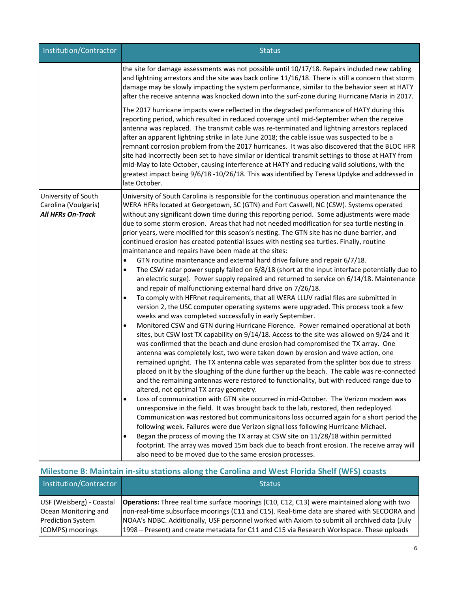| Institution/Contractor                                                  | <b>Status</b>                                                                                                                                                                                                                                                                                                                                                                                                                                                                                                                                                                                                                                                                                                                                                                                                                                                                                                                                                                                                                                                                                                                                                                                                                                                                                                                                                                                                                                                                                                                                                                                                                                                                                                                                                                                                                                                                                                                                                                                                                                                                                                                                                                                                                                                                                                                                                                                                                                                                                                                        |
|-------------------------------------------------------------------------|--------------------------------------------------------------------------------------------------------------------------------------------------------------------------------------------------------------------------------------------------------------------------------------------------------------------------------------------------------------------------------------------------------------------------------------------------------------------------------------------------------------------------------------------------------------------------------------------------------------------------------------------------------------------------------------------------------------------------------------------------------------------------------------------------------------------------------------------------------------------------------------------------------------------------------------------------------------------------------------------------------------------------------------------------------------------------------------------------------------------------------------------------------------------------------------------------------------------------------------------------------------------------------------------------------------------------------------------------------------------------------------------------------------------------------------------------------------------------------------------------------------------------------------------------------------------------------------------------------------------------------------------------------------------------------------------------------------------------------------------------------------------------------------------------------------------------------------------------------------------------------------------------------------------------------------------------------------------------------------------------------------------------------------------------------------------------------------------------------------------------------------------------------------------------------------------------------------------------------------------------------------------------------------------------------------------------------------------------------------------------------------------------------------------------------------------------------------------------------------------------------------------------------------|
|                                                                         | the site for damage assessments was not possible until 10/17/18. Repairs included new cabling<br>and lightning arrestors and the site was back online 11/16/18. There is still a concern that storm<br>damage may be slowly impacting the system performance, similar to the behavior seen at HATY<br>after the receive antenna was knocked down into the surf-zone during Hurricane Maria in 2017.                                                                                                                                                                                                                                                                                                                                                                                                                                                                                                                                                                                                                                                                                                                                                                                                                                                                                                                                                                                                                                                                                                                                                                                                                                                                                                                                                                                                                                                                                                                                                                                                                                                                                                                                                                                                                                                                                                                                                                                                                                                                                                                                  |
|                                                                         | The 2017 hurricane impacts were reflected in the degraded performance of HATY during this<br>reporting period, which resulted in reduced coverage until mid-September when the receive<br>antenna was replaced. The transmit cable was re-terminated and lightning arrestors replaced<br>after an apparent lightning strike in late June 2018; the cable issue was suspected to be a<br>remnant corrosion problem from the 2017 hurricanes. It was also discovered that the BLOC HFR<br>site had incorrectly been set to have similar or identical transmit settings to those at HATY from<br>mid-May to late October, causing interference at HATY and reducing valid solutions, with the<br>greatest impact being 9/6/18 -10/26/18. This was identified by Teresa Updyke and addressed in<br>late October.                                                                                                                                                                                                                                                                                                                                                                                                                                                                                                                                                                                                                                                                                                                                                                                                                                                                                                                                                                                                                                                                                                                                                                                                                                                                                                                                                                                                                                                                                                                                                                                                                                                                                                                         |
| University of South<br>Carolina (Voulgaris)<br><b>All HFRs On-Track</b> | University of South Carolina is responsible for the continuous operation and maintenance the<br>WERA HFRs located at Georgetown, SC (GTN) and Fort Caswell, NC (CSW). Systems operated<br>without any significant down time during this reporting period. Some adjustments were made<br>due to some storm erosion. Areas that had not needed modification for sea turtle nesting in<br>prior years, were modified for this season's nesting. The GTN site has no dune barrier, and<br>continued erosion has created potential issues with nesting sea turtles. Finally, routine<br>maintenance and repairs have been made at the sites:<br>GTN routine maintenance and external hard drive failure and repair 6/7/18.<br>$\bullet$<br>The CSW radar power supply failed on 6/8/18 (short at the input interface potentially due to<br>$\bullet$<br>an electric surge). Power supply repaired and returned to service on 6/14/18. Maintenance<br>and repair of malfunctioning external hard drive on 7/26/18.<br>To comply with HFRnet requirements, that all WERA LLUV radial files are submitted in<br>version 2, the USC computer operating systems were upgraded. This process took a few<br>weeks and was completed successfully in early September.<br>Monitored CSW and GTN during Hurricane Florence. Power remained operational at both<br>$\bullet$<br>sites, but CSW lost TX capability on 9/14/18. Access to the site was allowed on 9/24 and it<br>was confirmed that the beach and dune erosion had compromised the TX array. One<br>antenna was completely lost, two were taken down by erosion and wave action, one<br>remained upright. The TX antenna cable was separated from the splitter box due to stress<br>placed on it by the sloughing of the dune further up the beach. The cable was re-connected<br>and the remaining antennas were restored to functionality, but with reduced range due to<br>altered, not optimal TX array geometry.<br>Loss of communication with GTN site occurred in mid-October. The Verizon modem was<br>$\bullet$<br>unresponsive in the field. It was brought back to the lab, restored, then redeployed.<br>Communication was restored but communicaitons loss occurred again for a short period the<br>following week. Failures were due Verizon signal loss following Hurricane Michael.<br>Began the process of moving the TX array at CSW site on 11/28/18 within permitted<br>footprint. The array was moved 15m back due to beach front erosion. The receive array will |
|                                                                         | also need to be moved due to the same erosion processes.                                                                                                                                                                                                                                                                                                                                                                                                                                                                                                                                                                                                                                                                                                                                                                                                                                                                                                                                                                                                                                                                                                                                                                                                                                                                                                                                                                                                                                                                                                                                                                                                                                                                                                                                                                                                                                                                                                                                                                                                                                                                                                                                                                                                                                                                                                                                                                                                                                                                             |

# **Milestone B: Maintain in-situ stations along the Carolina and West Florida Shelf (WFS) coasts**

| Institution/Contractor                       | <b>Status</b>                                                                                                                                                                                                              |
|----------------------------------------------|----------------------------------------------------------------------------------------------------------------------------------------------------------------------------------------------------------------------------|
| Ocean Monitoring and                         | USF (Weisberg) - Coastal <b>Operations:</b> Three real time surface moorings (C10, C12, C13) were maintained along with two<br>non-real-time subsurface moorings (C11 and C15). Real-time data are shared with SECOORA and |
| <b>Prediction System</b><br>(COMPS) moorings | NOAA's NDBC. Additionally, USF personnel worked with Axiom to submit all archived data (July<br>1998 – Present) and create metadata for C11 and C15 via Research Workspace. These uploads                                  |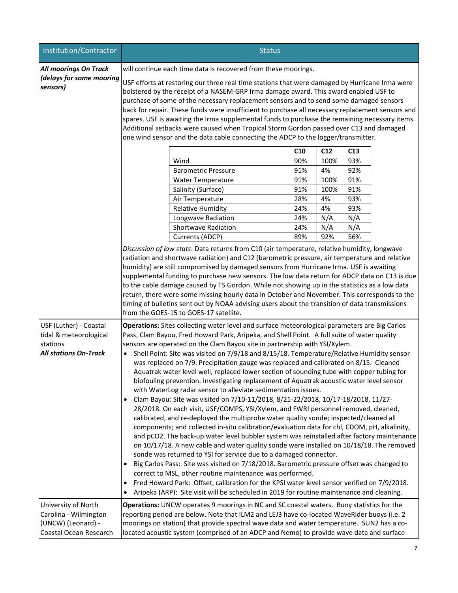| Institution/Contractor                                                                       | <b>Status</b>                                                                                                                                                                                                                                                                                                                                                                                                                                                                                                                                                                                                                                                                                                                                                                                                                                                                                                                                                                                                                                                                                                                                                                                                                                                                                                                                                                                                                                                                                                                                                                                                                                                                                                                                |          |            |  |  |
|----------------------------------------------------------------------------------------------|----------------------------------------------------------------------------------------------------------------------------------------------------------------------------------------------------------------------------------------------------------------------------------------------------------------------------------------------------------------------------------------------------------------------------------------------------------------------------------------------------------------------------------------------------------------------------------------------------------------------------------------------------------------------------------------------------------------------------------------------------------------------------------------------------------------------------------------------------------------------------------------------------------------------------------------------------------------------------------------------------------------------------------------------------------------------------------------------------------------------------------------------------------------------------------------------------------------------------------------------------------------------------------------------------------------------------------------------------------------------------------------------------------------------------------------------------------------------------------------------------------------------------------------------------------------------------------------------------------------------------------------------------------------------------------------------------------------------------------------------|----------|------------|--|--|
| <b>All moorings On Track</b>                                                                 | will continue each time data is recovered from these moorings.                                                                                                                                                                                                                                                                                                                                                                                                                                                                                                                                                                                                                                                                                                                                                                                                                                                                                                                                                                                                                                                                                                                                                                                                                                                                                                                                                                                                                                                                                                                                                                                                                                                                               |          |            |  |  |
| (delays for some mooring<br>sensors)                                                         | USF efforts at restoring our three real time stations that were damaged by Hurricane Irma were<br>bolstered by the receipt of a NASEM-GRP Irma damage award. This award enabled USF to<br>purchase of some of the necessary replacement sensors and to send some damaged sensors<br>back for repair. These funds were insufficient to purchase all necessary replacement sensors and<br>spares. USF is awaiting the Irma supplemental funds to purchase the remaining necessary items.<br>Additional setbacks were caused when Tropical Storm Gordon passed over C13 and damaged<br>one wind sensor and the data cable connecting the ADCP to the logger/transmitter.                                                                                                                                                                                                                                                                                                                                                                                                                                                                                                                                                                                                                                                                                                                                                                                                                                                                                                                                                                                                                                                                        |          |            |  |  |
|                                                                                              | C10                                                                                                                                                                                                                                                                                                                                                                                                                                                                                                                                                                                                                                                                                                                                                                                                                                                                                                                                                                                                                                                                                                                                                                                                                                                                                                                                                                                                                                                                                                                                                                                                                                                                                                                                          | C12      | C13        |  |  |
|                                                                                              | Wind<br>90%                                                                                                                                                                                                                                                                                                                                                                                                                                                                                                                                                                                                                                                                                                                                                                                                                                                                                                                                                                                                                                                                                                                                                                                                                                                                                                                                                                                                                                                                                                                                                                                                                                                                                                                                  | 100%     | 93%        |  |  |
|                                                                                              | 91%<br><b>Barometric Pressure</b>                                                                                                                                                                                                                                                                                                                                                                                                                                                                                                                                                                                                                                                                                                                                                                                                                                                                                                                                                                                                                                                                                                                                                                                                                                                                                                                                                                                                                                                                                                                                                                                                                                                                                                            | 4%       | 92%        |  |  |
|                                                                                              | 91%<br>Water Temperature                                                                                                                                                                                                                                                                                                                                                                                                                                                                                                                                                                                                                                                                                                                                                                                                                                                                                                                                                                                                                                                                                                                                                                                                                                                                                                                                                                                                                                                                                                                                                                                                                                                                                                                     | 100%     | 91%        |  |  |
|                                                                                              | Salinity (Surface)<br>91%                                                                                                                                                                                                                                                                                                                                                                                                                                                                                                                                                                                                                                                                                                                                                                                                                                                                                                                                                                                                                                                                                                                                                                                                                                                                                                                                                                                                                                                                                                                                                                                                                                                                                                                    | 100%     | 91%        |  |  |
|                                                                                              | 28%<br>Air Temperature<br><b>Relative Humidity</b><br>24%                                                                                                                                                                                                                                                                                                                                                                                                                                                                                                                                                                                                                                                                                                                                                                                                                                                                                                                                                                                                                                                                                                                                                                                                                                                                                                                                                                                                                                                                                                                                                                                                                                                                                    | 4%<br>4% | 93%<br>93% |  |  |
|                                                                                              | 24%<br>Longwave Radiation                                                                                                                                                                                                                                                                                                                                                                                                                                                                                                                                                                                                                                                                                                                                                                                                                                                                                                                                                                                                                                                                                                                                                                                                                                                                                                                                                                                                                                                                                                                                                                                                                                                                                                                    | N/A      | N/A        |  |  |
|                                                                                              | Shortwave Radiation<br>24%                                                                                                                                                                                                                                                                                                                                                                                                                                                                                                                                                                                                                                                                                                                                                                                                                                                                                                                                                                                                                                                                                                                                                                                                                                                                                                                                                                                                                                                                                                                                                                                                                                                                                                                   | N/A      | N/A        |  |  |
|                                                                                              | Currents (ADCP)<br>89%                                                                                                                                                                                                                                                                                                                                                                                                                                                                                                                                                                                                                                                                                                                                                                                                                                                                                                                                                                                                                                                                                                                                                                                                                                                                                                                                                                                                                                                                                                                                                                                                                                                                                                                       | 92%      | 56%        |  |  |
|                                                                                              | Discussion of low stats: Data returns from C10 (air temperature, relative humidity, longwave<br>radiation and shortwave radiation) and C12 (barometric pressure, air temperature and relative<br>humidity) are still compromised by damaged sensors from Hurricane Irma. USF is awaiting<br>supplemental funding to purchase new sensors. The low data return for ADCP data on C13 is due<br>to the cable damage caused by TS Gordon. While not showing up in the statistics as a low data<br>return, there were some missing hourly data in October and November. This corresponds to the<br>timing of bulletins sent out by NOAA advising users about the transition of data transmissions<br>from the GOES-15 to GOES-17 satellite.                                                                                                                                                                                                                                                                                                                                                                                                                                                                                                                                                                                                                                                                                                                                                                                                                                                                                                                                                                                                       |          |            |  |  |
| USF (Luther) - Coastal<br>tidal & meteorological<br>stations<br><b>All stations On-Track</b> | Operations: Sites collecting water level and surface meteorological parameters are Big Carlos<br>Pass, Clam Bayou, Fred Howard Park, Aripeka, and Shell Point. A full suite of water quality<br>sensors are operated on the Clam Bayou site in partnership with YSI/Xylem.<br>Shell Point: Site was visited on 7/9/18 and 8/15/18. Temperature/Relative Humidity sensor<br>$\bullet$<br>was replaced on 7/9. Precipitation gauge was replaced and calibrated on 8/15. Cleaned<br>Aquatrak water level well, replaced lower section of sounding tube with copper tubing for<br>biofouling prevention. Investigating replacement of Aquatrak acoustic water level sensor<br>with WaterLog radar sensor to alleviate sedimentation issues.<br>Clam Bayou: Site was visited on 7/10-11/2018, 8/21-22/2018, 10/17-18/2018, 11/27-<br>$\bullet$<br>28/2018. On each visit, USF/COMPS, YSI/Xylem, and FWRI personnel removed, cleaned,<br>calibrated, and re-deployed the multiprobe water quality sonde; inspected/cleaned all<br>components; and collected in-situ calibration/evaluation data for chl, CDOM, pH, alkalinity,<br>and pCO2. The back-up water level bubbler system was reinstalled after factory maintenance<br>on 10/17/18. A new cable and water quality sonde were installed on 10/18/18. The removed<br>sonde was returned to YSI for service due to a damaged connector.<br>Big Carlos Pass: Site was visited on 7/18/2018. Barometric pressure offset was changed to<br>correct to MSL, other routine maintenance was performed.<br>Fred Howard Park: Offset, calibration for the KPSI water level sensor verified on 7/9/2018.<br>Aripeka (ARP): Site visit will be scheduled in 2019 for routine maintenance and cleaning. |          |            |  |  |
| University of North<br>Carolina - Wilmington<br>(UNCW) (Leonard) -<br>Coastal Ocean Research | Operations: UNCW operates 9 moorings in NC and SC coastal waters. Buoy statistics for the<br>reporting period are below. Note that ILM2 and LEJ3 have co-located WaveRider buoys (i.e. 2<br>moorings on station) that provide spectral wave data and water temperature. SUN2 has a co-<br>located acoustic system (comprised of an ADCP and Nemo) to provide wave data and surface                                                                                                                                                                                                                                                                                                                                                                                                                                                                                                                                                                                                                                                                                                                                                                                                                                                                                                                                                                                                                                                                                                                                                                                                                                                                                                                                                           |          |            |  |  |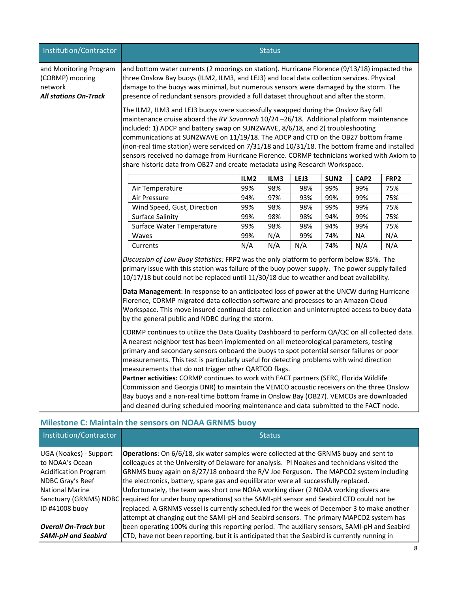| Institution/Contractor                                                               | <b>Status</b>                                                                                                                                                                                                                                                                                                                                                                                                                                                                                                                                                                                                                                                                                                                                                                                                      |      |      |      |                  |                  |      |
|--------------------------------------------------------------------------------------|--------------------------------------------------------------------------------------------------------------------------------------------------------------------------------------------------------------------------------------------------------------------------------------------------------------------------------------------------------------------------------------------------------------------------------------------------------------------------------------------------------------------------------------------------------------------------------------------------------------------------------------------------------------------------------------------------------------------------------------------------------------------------------------------------------------------|------|------|------|------------------|------------------|------|
| and Monitoring Program<br>(CORMP) mooring<br>network<br><b>All stations On-Track</b> | and bottom water currents (2 moorings on station). Hurricane Florence (9/13/18) impacted the<br>three Onslow Bay buoys (ILM2, ILM3, and LEJ3) and local data collection services. Physical<br>damage to the buoys was minimal, but numerous sensors were damaged by the storm. The<br>presence of redundant sensors provided a full dataset throughout and after the storm.                                                                                                                                                                                                                                                                                                                                                                                                                                        |      |      |      |                  |                  |      |
|                                                                                      | The ILM2, ILM3 and LEJ3 buoys were successfully swapped during the Onslow Bay fall<br>maintenance cruise aboard the RV Savannah 10/24 -26/18. Additional platform maintenance<br>included: 1) ADCP and battery swap on SUN2WAVE, 8/6/18, and 2) troubleshooting<br>communications at SUN2WAVE on 11/19/18. The ADCP and CTD on the OB27 bottom frame<br>(non-real time station) were serviced on 7/31/18 and 10/31/18. The bottom frame and installed<br>sensors received no damage from Hurricane Florence. CORMP technicians worked with Axiom to<br>share historic data from OB27 and create metadata using Research Workspace.                                                                                                                                                                                 |      |      |      |                  |                  |      |
|                                                                                      |                                                                                                                                                                                                                                                                                                                                                                                                                                                                                                                                                                                                                                                                                                                                                                                                                    | ILM2 | ILM3 | LEJ3 | SUN <sub>2</sub> | CAP <sub>2</sub> | FRP2 |
|                                                                                      | Air Temperature                                                                                                                                                                                                                                                                                                                                                                                                                                                                                                                                                                                                                                                                                                                                                                                                    | 99%  | 98%  | 98%  | 99%              | 99%              | 75%  |
|                                                                                      | Air Pressure                                                                                                                                                                                                                                                                                                                                                                                                                                                                                                                                                                                                                                                                                                                                                                                                       | 94%  | 97%  | 93%  | 99%              | 99%              | 75%  |
|                                                                                      | Wind Speed, Gust, Direction                                                                                                                                                                                                                                                                                                                                                                                                                                                                                                                                                                                                                                                                                                                                                                                        | 99%  | 98%  | 98%  | 99%              | 99%              | 75%  |
|                                                                                      | <b>Surface Salinity</b>                                                                                                                                                                                                                                                                                                                                                                                                                                                                                                                                                                                                                                                                                                                                                                                            | 99%  | 98%  | 98%  | 94%              | 99%              | 75%  |
|                                                                                      | Surface Water Temperature                                                                                                                                                                                                                                                                                                                                                                                                                                                                                                                                                                                                                                                                                                                                                                                          | 99%  | 98%  | 98%  | 94%              | 99%              | 75%  |
|                                                                                      | Waves                                                                                                                                                                                                                                                                                                                                                                                                                                                                                                                                                                                                                                                                                                                                                                                                              | 99%  | N/A  | 99%  | 74%              | <b>NA</b>        | N/A  |
|                                                                                      | Currents                                                                                                                                                                                                                                                                                                                                                                                                                                                                                                                                                                                                                                                                                                                                                                                                           | N/A  | N/A  | N/A  | 74%              | N/A              | N/A  |
|                                                                                      | Discussion of Low Buoy Statistics: FRP2 was the only platform to perform below 85%. The<br>primary issue with this station was failure of the buoy power supply. The power supply failed<br>10/17/18 but could not be replaced until 11/30/18 due to weather and boat availability.<br>Data Management: In response to an anticipated loss of power at the UNCW during Hurricane<br>Florence, CORMP migrated data collection software and processes to an Amazon Cloud<br>Workspace. This move insured continual data collection and uninterrupted access to buoy data<br>by the general public and NDBC during the storm.                                                                                                                                                                                         |      |      |      |                  |                  |      |
|                                                                                      | CORMP continues to utilize the Data Quality Dashboard to perform QA/QC on all collected data.<br>A nearest neighbor test has been implemented on all meteorological parameters, testing<br>primary and secondary sensors onboard the buoys to spot potential sensor failures or poor<br>measurements. This test is particularly useful for detecting problems with wind direction<br>measurements that do not trigger other QARTOD flags.<br>Partner activities: CORMP continues to work with FACT partners (SERC, Florida Wildlife<br>Commission and Georgia DNR) to maintain the VEMCO acoustic receivers on the three Onslow<br>Bay buoys and a non-real time bottom frame in Onslow Bay (OB27). VEMCOs are downloaded<br>and cleaned during scheduled mooring maintenance and data submitted to the FACT node. |      |      |      |                  |                  |      |

## **Milestone C: Maintain the sensors on NOAA GRNMS buoy**

| Institution/Contractor                                                                        | <b>Status</b>                                                                                                                                                                                                                                                                                                                                                          |
|-----------------------------------------------------------------------------------------------|------------------------------------------------------------------------------------------------------------------------------------------------------------------------------------------------------------------------------------------------------------------------------------------------------------------------------------------------------------------------|
| UGA (Noakes) - Support<br>to NOAA's Ocean<br><b>Acidification Program</b><br>NDBC Gray's Reef | Operations: On 6/6/18, six water samples were collected at the GRNMS buoy and sent to<br>colleagues at the University of Delaware for analysis. PI Noakes and technicians visited the<br>GRNMS buoy again on 8/27/18 onboard the R/V Joe Ferguson. The MAPCO2 system including<br>the electronics, battery, spare gas and equilibrator were all successfully replaced. |
| National Marine                                                                               | Unfortunately, the team was short one NOAA working diver (2 NOAA working divers are<br>Sanctuary (GRNMS) NDBC required for under buoy operations) so the SAMI-pH sensor and Seabird CTD could not be                                                                                                                                                                   |
| ID #41008 buoy<br><b>Overall On-Track but</b>                                                 | replaced. A GRNMS vessel is currently scheduled for the week of December 3 to make another<br>attempt at changing out the SAMI-pH and Seabird sensors. The primary MAPCO2 system has<br>been operating 100% during this reporting period. The auxiliary sensors, SAMI-pH and Seabird                                                                                   |
| <b>SAMI-pH and Seabird</b>                                                                    | CTD, have not been reporting, but it is anticipated that the Seabird is currently running in                                                                                                                                                                                                                                                                           |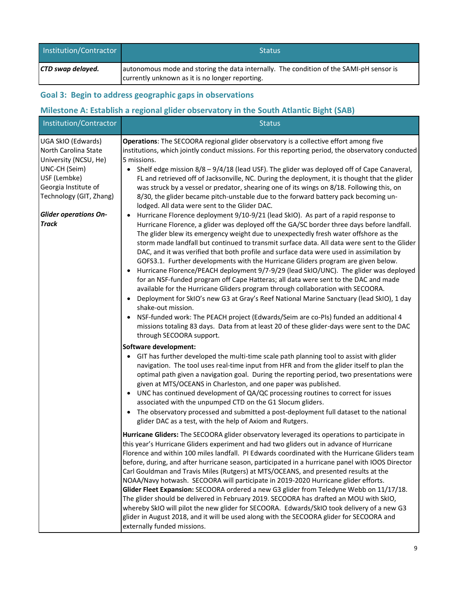| Institution/Contractor | <b>Status</b>                                                                                                                              |
|------------------------|--------------------------------------------------------------------------------------------------------------------------------------------|
| CTD swap delayed.      | autonomous mode and storing the data internally. The condition of the SAMI-pH sensor is<br>currently unknown as it is no longer reporting. |

## **Goal 3: Begin to address geographic gaps in observations**

## **Milestone A: Establish a regional glider observatory in the South Atlantic Bight (SAB)**

| Institution/Contractor                                                                                                                                                                                  | <b>Status</b>                                                                                                                                                                                                                                                                                                                                                                                                                                                                                                                                                                                                                                                                                                                                                                                                                                                                                                                                                                                                                                                                                                                                                                                                                                                                                                                                                                                                                                                                                                                                                                                                                                                                                                                                                                                                         |
|---------------------------------------------------------------------------------------------------------------------------------------------------------------------------------------------------------|-----------------------------------------------------------------------------------------------------------------------------------------------------------------------------------------------------------------------------------------------------------------------------------------------------------------------------------------------------------------------------------------------------------------------------------------------------------------------------------------------------------------------------------------------------------------------------------------------------------------------------------------------------------------------------------------------------------------------------------------------------------------------------------------------------------------------------------------------------------------------------------------------------------------------------------------------------------------------------------------------------------------------------------------------------------------------------------------------------------------------------------------------------------------------------------------------------------------------------------------------------------------------------------------------------------------------------------------------------------------------------------------------------------------------------------------------------------------------------------------------------------------------------------------------------------------------------------------------------------------------------------------------------------------------------------------------------------------------------------------------------------------------------------------------------------------------|
| UGA SkIO (Edwards)<br>North Carolina State<br>University (NCSU, He)<br>UNC-CH (Seim)<br>USF (Lembke)<br>Georgia Institute of<br>Technology (GIT, Zhang)<br><b>Glider operations On-</b><br><b>Track</b> | Operations: The SECOORA regional glider observatory is a collective effort among five<br>institutions, which jointly conduct missions. For this reporting period, the observatory conducted<br>5 missions.<br>• Shelf edge mission $8/8 - 9/4/18$ (lead USF). The glider was deployed off of Cape Canaveral,<br>FL and retrieved off of Jacksonville, NC. During the deployment, it is thought that the glider<br>was struck by a vessel or predator, shearing one of its wings on 8/18. Following this, on<br>8/30, the glider became pitch-unstable due to the forward battery pack becoming un-<br>lodged. All data were sent to the Glider DAC.<br>Hurricane Florence deployment 9/10-9/21 (lead SkIO). As part of a rapid response to<br>Hurricane Florence, a glider was deployed off the GA/SC border three days before landfall.<br>The glider blew its emergency weight due to unexpectedly fresh water offshore as the<br>storm made landfall but continued to transmit surface data. All data were sent to the Glider<br>DAC, and it was verified that both profile and surface data were used in assimilation by<br>GOFS3.1. Further developments with the Hurricane Gliders program are given below.<br>Hurricane Florence/PEACH deployment 9/7-9/29 (lead SkIO/UNC). The glider was deployed<br>$\bullet$<br>for an NSF-funded program off Cape Hatteras; all data were sent to the DAC and made<br>available for the Hurricane Gliders program through collaboration with SECOORA.<br>Deployment for SkIO's new G3 at Gray's Reef National Marine Sanctuary (lead SkIO), 1 day<br>$\bullet$<br>shake-out mission.<br>NSF-funded work: The PEACH project (Edwards/Seim are co-PIs) funded an additional 4<br>missions totaling 83 days. Data from at least 20 of these glider-days were sent to the DAC |
|                                                                                                                                                                                                         | through SECOORA support.<br>Software development:<br>GIT has further developed the multi-time scale path planning tool to assist with glider<br>$\bullet$<br>navigation. The tool uses real-time input from HFR and from the glider itself to plan the<br>optimal path given a navigation goal. During the reporting period, two presentations were<br>given at MTS/OCEANS in Charleston, and one paper was published.<br>• UNC has continued development of QA/QC processing routines to correct for issues<br>associated with the unpumped CTD on the G1 Slocum gliders.<br>The observatory processed and submitted a post-deployment full dataset to the national<br>glider DAC as a test, with the help of Axiom and Rutgers.<br>Hurricane Gliders: The SECOORA glider observatory leveraged its operations to participate in<br>this year's Hurricane Gliders experiment and had two gliders out in advance of Hurricane<br>Florence and within 100 miles landfall. PI Edwards coordinated with the Hurricane Gliders team<br>before, during, and after hurricane season, participated in a hurricane panel with IOOS Director<br>Carl Gouldman and Travis Miles (Rutgers) at MTS/OCEANS, and presented results at the<br>NOAA/Navy hotwash. SECOORA will participate in 2019-2020 Hurricane glider efforts.<br>Glider Fleet Expansion: SECOORA ordered a new G3 glider from Teledyne Webb on 11/17/18.<br>The glider should be delivered in February 2019. SECOORA has drafted an MOU with SkIO,<br>whereby SkIO will pilot the new glider for SECOORA. Edwards/SkIO took delivery of a new G3<br>glider in August 2018, and it will be used along with the SECOORA glider for SECOORA and<br>externally funded missions.                                                                                       |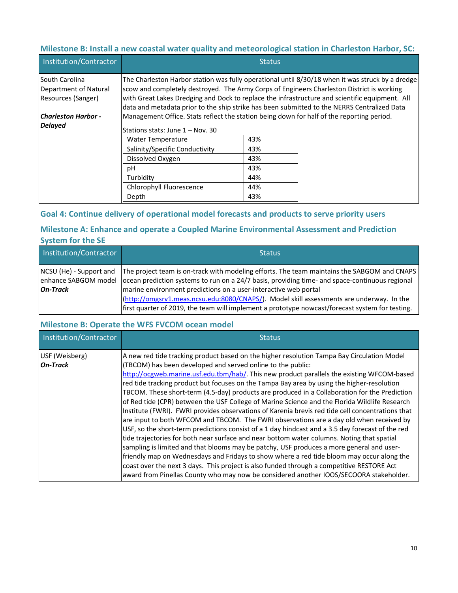## **Milestone B: Install a new coastal water quality and meteorological station in Charleston Harbor, SC:**

| Institution/Contractor                                        |                                                                                                                                                                                                                                                                                            | <b>Status</b> |                                                                                                  |
|---------------------------------------------------------------|--------------------------------------------------------------------------------------------------------------------------------------------------------------------------------------------------------------------------------------------------------------------------------------------|---------------|--------------------------------------------------------------------------------------------------|
| South Carolina<br>Department of Natural<br>Resources (Sanger) | scow and completely destroyed. The Army Corps of Engineers Charleston District is working<br>with Great Lakes Dredging and Dock to replace the infrastructure and scientific equipment. All<br>data and metadata prior to the ship strike has been submitted to the NERRS Centralized Data |               | The Charleston Harbor station was fully operational until 8/30/18 when it was struck by a dredge |
| Charleston Harbor -                                           | Management Office. Stats reflect the station being down for half of the reporting period.                                                                                                                                                                                                  |               |                                                                                                  |
| <b>Delayed</b>                                                | Stations stats: June 1 – Nov. 30                                                                                                                                                                                                                                                           |               |                                                                                                  |
|                                                               | <b>Water Temperature</b>                                                                                                                                                                                                                                                                   | 43%           |                                                                                                  |
|                                                               | Salinity/Specific Conductivity                                                                                                                                                                                                                                                             | 43%           |                                                                                                  |
|                                                               | Dissolved Oxygen                                                                                                                                                                                                                                                                           | 43%           |                                                                                                  |
|                                                               | рH                                                                                                                                                                                                                                                                                         | 43%           |                                                                                                  |
|                                                               | Turbidity                                                                                                                                                                                                                                                                                  | 44%           |                                                                                                  |
|                                                               | Chlorophyll Fluorescence                                                                                                                                                                                                                                                                   | 44%           |                                                                                                  |
|                                                               | Depth                                                                                                                                                                                                                                                                                      | 43%           |                                                                                                  |

## **Goal 4: Continue delivery of operational model forecasts and products to serve priority users**

## **Milestone A: Enhance and operate a Coupled Marine Environmental Assessment and Prediction System for the SE**

| Institution/Contractor | <b>Status</b>                                                                                                                                                                                                                                                                                                                                                                                                                                                                                                |
|------------------------|--------------------------------------------------------------------------------------------------------------------------------------------------------------------------------------------------------------------------------------------------------------------------------------------------------------------------------------------------------------------------------------------------------------------------------------------------------------------------------------------------------------|
| <b>On-Track</b>        | NCSU (He) - Support and The project team is on-track with modeling efforts. The team maintains the SABGOM and CNAPS<br>enhance SABGOM model ocean prediction systems to run on a 24/7 basis, providing time- and space-continuous regional<br>marine environment predictions on a user-interactive web portal<br>(http://omgsrv1.meas.ncsu.edu:8080/CNAPS/). Model skill assessments are underway. In the<br>first quarter of 2019, the team will implement a prototype nowcast/forecast system for testing. |

### **Milestone B: Operate the WFS FVCOM ocean model**

| Institution/Contractor            | <b>Status</b>                                                                                                                                                                                                                                                                                                                                                                                                                                                                                                                                                                                                                                                                                                                                                                                                                                                                                                                                                                                                                                                                                                                                                                                                                                                                                                                            |
|-----------------------------------|------------------------------------------------------------------------------------------------------------------------------------------------------------------------------------------------------------------------------------------------------------------------------------------------------------------------------------------------------------------------------------------------------------------------------------------------------------------------------------------------------------------------------------------------------------------------------------------------------------------------------------------------------------------------------------------------------------------------------------------------------------------------------------------------------------------------------------------------------------------------------------------------------------------------------------------------------------------------------------------------------------------------------------------------------------------------------------------------------------------------------------------------------------------------------------------------------------------------------------------------------------------------------------------------------------------------------------------|
| USF (Weisberg)<br><b>On-Track</b> | A new red tide tracking product based on the higher resolution Tampa Bay Circulation Model<br>(TBCOM) has been developed and served online to the public:<br>http://ocgweb.marine.usf.edu.tbm/hab/. This new product parallels the existing WFCOM-based<br>red tide tracking product but focuses on the Tampa Bay area by using the higher-resolution<br>TBCOM. These short-term (4.5-day) products are produced in a Collaboration for the Prediction<br>of Red tide (CPR) between the USF College of Marine Science and the Florida Wildlife Research<br>Institute (FWRI). FWRI provides observations of Karenia brevis red tide cell concentrations that<br>are input to both WFCOM and TBCOM. The FWRI observations are a day old when received by<br>USF, so the short-term predictions consist of a 1 day hindcast and a 3.5 day forecast of the red<br>tide trajectories for both near surface and near bottom water columns. Noting that spatial<br>sampling is limited and that blooms may be patchy, USF produces a more general and user-<br>friendly map on Wednesdays and Fridays to show where a red tide bloom may occur along the<br>coast over the next 3 days. This project is also funded through a competitive RESTORE Act<br>award from Pinellas County who may now be considered another IOOS/SECOORA stakeholder. |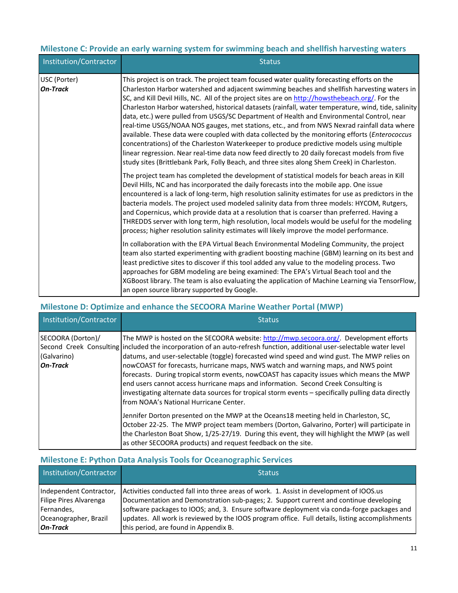## **Milestone C: Provide an early warning system for swimming beach and shellfish harvesting waters**

| Institution/Contractor          | <b>Status</b>                                                                                                                                                                                                                                                                                                                                                                                                                                                                                                                                                                                                                                                                                                                                                                                                                                                                                                                                                                                      |
|---------------------------------|----------------------------------------------------------------------------------------------------------------------------------------------------------------------------------------------------------------------------------------------------------------------------------------------------------------------------------------------------------------------------------------------------------------------------------------------------------------------------------------------------------------------------------------------------------------------------------------------------------------------------------------------------------------------------------------------------------------------------------------------------------------------------------------------------------------------------------------------------------------------------------------------------------------------------------------------------------------------------------------------------|
| USC (Porter)<br><b>On-Track</b> | This project is on track. The project team focused water quality forecasting efforts on the<br>Charleston Harbor watershed and adjacent swimming beaches and shellfish harvesting waters in<br>SC, and Kill Devil Hills, NC. All of the project sites are on http://howsthebeach.org/. For the<br>Charleston Harbor watershed, historical datasets (rainfall, water temperature, wind, tide, salinity<br>data, etc.) were pulled from USGS/SC Department of Health and Environmental Control, near<br>real-time USGS/NOAA NOS gauges, met stations, etc., and from NWS Nexrad rainfall data where<br>available. These data were coupled with data collected by the monitoring efforts (Enterococcus<br>concentrations) of the Charleston Waterkeeper to produce predictive models using multiple<br>linear regression. Near real-time data now feed directly to 20 daily forecast models from five<br>study sites (Brittlebank Park, Folly Beach, and three sites along Shem Creek) in Charleston. |
|                                 | The project team has completed the development of statistical models for beach areas in Kill<br>Devil Hills, NC and has incorporated the daily forecasts into the mobile app. One issue<br>encountered is a lack of long-term, high resolution salinity estimates for use as predictors in the<br>bacteria models. The project used modeled salinity data from three models: HYCOM, Rutgers,<br>and Copernicus, which provide data at a resolution that is coarser than preferred. Having a<br>THREDDS server with long term, high resolution, local models would be useful for the modeling<br>process; higher resolution salinity estimates will likely improve the model performance.                                                                                                                                                                                                                                                                                                           |
|                                 | In collaboration with the EPA Virtual Beach Environmental Modeling Community, the project<br>team also started experimenting with gradient boosting machine (GBM) learning on its best and<br>least predictive sites to discover if this tool added any value to the modeling process. Two<br>approaches for GBM modeling are being examined: The EPA's Virtual Beach tool and the<br>XGBoost library. The team is also evaluating the application of Machine Learning via TensorFlow,<br>an open source library supported by Google.                                                                                                                                                                                                                                                                                                                                                                                                                                                              |

## **Milestone D: Optimize and enhance the SECOORA Marine Weather Portal (MWP)**

| Institution/Contractor                              | <b>Status</b>                                                                                                                                                                                                                                                                                                                                                                                                                                                                                                                                                                                                                                                                                                                              |
|-----------------------------------------------------|--------------------------------------------------------------------------------------------------------------------------------------------------------------------------------------------------------------------------------------------------------------------------------------------------------------------------------------------------------------------------------------------------------------------------------------------------------------------------------------------------------------------------------------------------------------------------------------------------------------------------------------------------------------------------------------------------------------------------------------------|
| SECOORA (Dorton)/<br>(Galvarino)<br><b>On-Track</b> | The MWP is hosted on the SECOORA website: http://mwp.secoora.org/. Development efforts<br>Second Creek Consulting included the incorporation of an auto-refresh function, additional user-selectable water level<br>datums, and user-selectable (toggle) forecasted wind speed and wind gust. The MWP relies on<br>nowCOAST for forecasts, hurricane maps, NWS watch and warning maps, and NWS point<br>forecasts. During tropical storm events, now COAST has capacity issues which means the MWP<br>end users cannot access hurricane maps and information. Second Creek Consulting is<br>investigating alternate data sources for tropical storm events - specifically pulling data directly<br>lfrom NOAA's National Hurricane Center. |
|                                                     | Jennifer Dorton presented on the MWP at the Oceans18 meeting held in Charleston, SC,<br>October 22-25. The MWP project team members (Dorton, Galvarino, Porter) will participate in<br>the Charleston Boat Show, 1/25-27/19. During this event, they will highlight the MWP (as well<br>as other SECOORA products) and request feedback on the site.                                                                                                                                                                                                                                                                                                                                                                                       |

## **Milestone E: Python Data Analysis Tools for Oceanographic Services**

| Institution/Contractor  | <b>Status</b>                                                                                   |
|-------------------------|-------------------------------------------------------------------------------------------------|
| Independent Contractor, | Activities conducted fall into three areas of work. 1. Assist in development of IOOS.us         |
| Filipe Pires Alvarenga  | Documentation and Demonstration sub-pages; 2. Support current and continue developing           |
| Fernandes,              | software packages to IOOS; and, 3. Ensure software deployment via conda-forge packages and      |
| Oceanographer, Brazil   | updates. All work is reviewed by the IOOS program office. Full details, listing accomplishments |
| <b>On-Track</b>         | this period, are found in Appendix B.                                                           |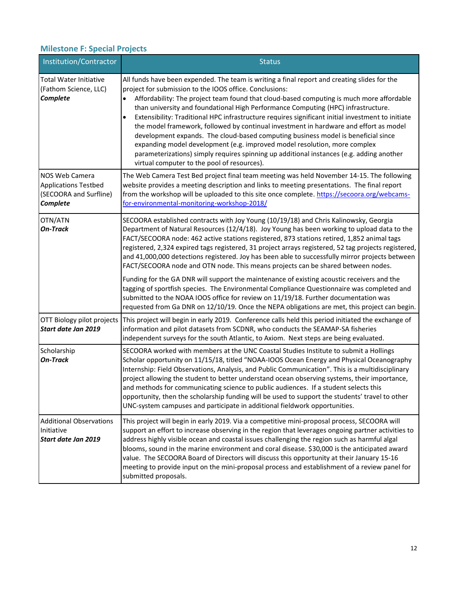## **Milestone F: Special Projects**

| Institution/Contractor                                                                     | <b>Status</b>                                                                                                                                                                                                                                                                                                                                                                                                                                                                                                                                                                                                                                                                                                                                                                                                                                       |
|--------------------------------------------------------------------------------------------|-----------------------------------------------------------------------------------------------------------------------------------------------------------------------------------------------------------------------------------------------------------------------------------------------------------------------------------------------------------------------------------------------------------------------------------------------------------------------------------------------------------------------------------------------------------------------------------------------------------------------------------------------------------------------------------------------------------------------------------------------------------------------------------------------------------------------------------------------------|
| <b>Total Water Initiative</b><br>(Fathom Science, LLC)<br>Complete                         | All funds have been expended. The team is writing a final report and creating slides for the<br>project for submission to the IOOS office. Conclusions:<br>Affordability: The project team found that cloud-based computing is much more affordable<br>than university and foundational High Performance Computing (HPC) infrastructure.<br>Extensibility: Traditional HPC infrastructure requires significant initial investment to initiate<br>the model framework, followed by continual investment in hardware and effort as model<br>development expands. The cloud-based computing business model is beneficial since<br>expanding model development (e.g. improved model resolution, more complex<br>parameterizations) simply requires spinning up additional instances (e.g. adding another<br>virtual computer to the pool of resources). |
| <b>NOS Web Camera</b><br><b>Applications Testbed</b><br>(SECOORA and Surfline)<br>Complete | The Web Camera Test Bed project final team meeting was held November 14-15. The following<br>website provides a meeting description and links to meeting presentations. The final report<br>from the workshop will be uploaded to this site once complete. https://secoora.org/webcams-<br>for-environmental-monitoring-workshop-2018/                                                                                                                                                                                                                                                                                                                                                                                                                                                                                                              |
| OTN/ATN<br><b>On-Track</b>                                                                 | SECOORA established contracts with Joy Young (10/19/18) and Chris Kalinowsky, Georgia<br>Department of Natural Resources (12/4/18). Joy Young has been working to upload data to the<br>FACT/SECOORA node: 462 active stations registered, 873 stations retired, 1,852 animal tags<br>registered, 2,324 expired tags registered, 31 project arrays registered, 52 tag projects registered,<br>and 41,000,000 detections registered. Joy has been able to successfully mirror projects between<br>FACT/SECOORA node and OTN node. This means projects can be shared between nodes.<br>Funding for the GA DNR will support the maintenance of existing acoustic receivers and the<br>tagging of sportfish species. The Environmental Compliance Questionnaire was completed and                                                                       |
|                                                                                            | submitted to the NOAA IOOS office for review on 11/19/18. Further documentation was<br>requested from Ga DNR on 12/10/19. Once the NEPA obligations are met, this project can begin.                                                                                                                                                                                                                                                                                                                                                                                                                                                                                                                                                                                                                                                                |
| OTT Biology pilot projects<br>Start date Jan 2019                                          | This project will begin in early 2019. Conference calls held this period initiated the exchange of<br>information and pilot datasets from SCDNR, who conducts the SEAMAP-SA fisheries<br>independent surveys for the south Atlantic, to Axiom. Next steps are being evaluated.                                                                                                                                                                                                                                                                                                                                                                                                                                                                                                                                                                      |
| Scholarship<br><b>On-Track</b>                                                             | SECOORA worked with members at the UNC Coastal Studies Institute to submit a Hollings<br>Scholar opportunity on 11/15/18, titled "NOAA-IOOS Ocean Energy and Physical Oceanography<br>Internship: Field Observations, Analysis, and Public Communication". This is a multidisciplinary<br>project allowing the student to better understand ocean observing systems, their importance,<br>and methods for communicating science to public audiences. If a student selects this<br>opportunity, then the scholarship funding will be used to support the students' travel to other<br>UNC-system campuses and participate in additional fieldwork opportunities.                                                                                                                                                                                     |
| <b>Additional Observations</b><br>Initiative<br>Start date Jan 2019                        | This project will begin in early 2019. Via a competitive mini-proposal process, SECOORA will<br>support an effort to increase observing in the region that leverages ongoing partner activities to<br>address highly visible ocean and coastal issues challenging the region such as harmful algal<br>blooms, sound in the marine environment and coral disease. \$30,000 is the anticipated award<br>value. The SECOORA Board of Directors will discuss this opportunity at their January 15-16<br>meeting to provide input on the mini-proposal process and establishment of a review panel for<br>submitted proposals.                                                                                                                                                                                                                           |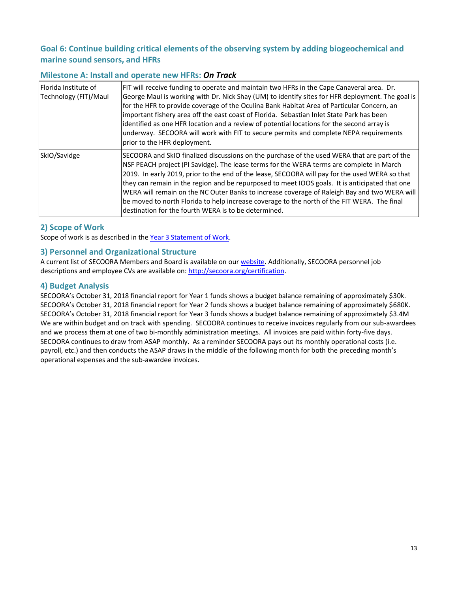## **Goal 6: Continue building critical elements of the observing system by adding biogeochemical and marine sound sensors, and HFRs**

#### **Milestone A: Install and operate new HFRs:** *On Track*

| Florida Institute of<br>Technology (FIT)/Maul | FIT will receive funding to operate and maintain two HFRs in the Cape Canaveral area. Dr.<br>George Maul is working with Dr. Nick Shay (UM) to identify sites for HFR deployment. The goal is<br>for the HFR to provide coverage of the Oculina Bank Habitat Area of Particular Concern, an<br>important fishery area off the east coast of Florida. Sebastian Inlet State Park has been<br>identified as one HFR location and a review of potential locations for the second array is<br>underway. SECOORA will work with FIT to secure permits and complete NEPA requirements<br>prior to the HFR deployment.                                     |
|-----------------------------------------------|-----------------------------------------------------------------------------------------------------------------------------------------------------------------------------------------------------------------------------------------------------------------------------------------------------------------------------------------------------------------------------------------------------------------------------------------------------------------------------------------------------------------------------------------------------------------------------------------------------------------------------------------------------|
| SkIO/Savidge                                  | SECOORA and SkIO finalized discussions on the purchase of the used WERA that are part of the<br>NSF PEACH project (PI Savidge). The lease terms for the WERA terms are complete in March<br>2019. In early 2019, prior to the end of the lease, SECOORA will pay for the used WERA so that<br>they can remain in the region and be repurposed to meet IOOS goals. It is anticipated that one<br>WERA will remain on the NC Outer Banks to increase coverage of Raleigh Bay and two WERA will<br>be moved to north Florida to help increase coverage to the north of the FIT WERA. The final<br>destination for the fourth WERA is to be determined. |

## **2) Scope of Work**

Scope of work is as described in the [Year 3 Statement of Work.](http://secoora.org/wp-content/uploads/2018/12/FINAL-YEAR-3-DESCOPE_SUBMITTED.pdf)

### **3) Personnel and Organizational Structure**

A current list of SECOORA Members and Board is available on our [website.](http://secoora.org/members/board) Additionally, SECOORA personnel job descriptions and employee CVs are available on: [http://secoora.org/certification.](http://secoora.org/certification) 

### **4) Budget Analysis**

SECOORA's October 31, 2018 financial report for Year 1 funds shows a budget balance remaining of approximately \$30k. SECOORA's October 31, 2018 financial report for Year 2 funds shows a budget balance remaining of approximately \$680K. SECOORA's October 31, 2018 financial report for Year 3 funds shows a budget balance remaining of approximately \$3.4M We are within budget and on track with spending. SECOORA continues to receive invoices regularly from our sub-awardees and we process them at one of two bi-monthly administration meetings. All invoices are paid within forty-five days. SECOORA continues to draw from ASAP monthly. As a reminder SECOORA pays out its monthly operational costs (i.e. payroll, etc.) and then conducts the ASAP draws in the middle of the following month for both the preceding month's operational expenses and the sub-awardee invoices.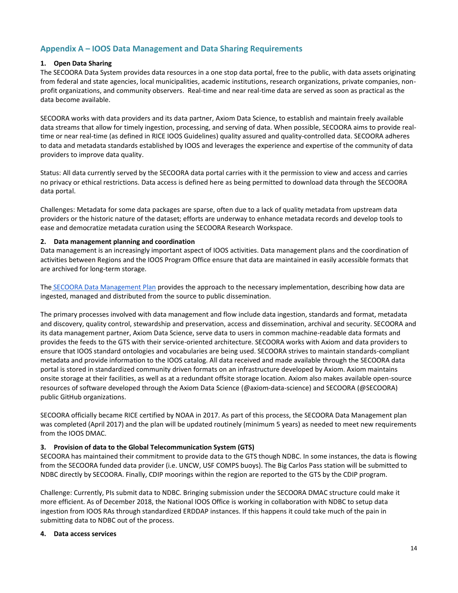## **Appendix A – IOOS Data Management and Data Sharing Requirements**

#### **1. Open Data Sharing**

The SECOORA Data System provides data resources in a one stop data portal, free to the public, with data assets originating from federal and state agencies, local municipalities, academic institutions, research organizations, private companies, nonprofit organizations, and community observers. Real-time and near real-time data are served as soon as practical as the data become available.

SECOORA works with data providers and its data partner, Axiom Data Science, to establish and maintain freely available data streams that allow for timely ingestion, processing, and serving of data. When possible, SECOORA aims to provide realtime or near real-time (as defined in RICE IOOS Guidelines) quality assured and quality-controlled data. SECOORA adheres to data and metadata standards established by IOOS and leverages the experience and expertise of the community of data providers to improve data quality.

Status: All data currently served by the SECOORA data portal carries with it the permission to view and access and carries no privacy or ethical restrictions. Data access is defined here as being permitted to download data through the SECOORA data portal.

Challenges: Metadata for some data packages are sparse, often due to a lack of quality metadata from upstream data providers or the historic nature of the dataset; efforts are underway to enhance metadata records and develop tools to ease and democratize metadata curation using the SECOORA Research Workspace.

#### **2. Data management planning and coordination**

Data management is an increasingly important aspect of IOOS activities. Data management plans and the coordination of activities between Regions and the IOOS Program Office ensure that data are maintained in easily accessible formats that are archived for long-term storage.

The [SECOORA Data Management Plan](http://secoora.org/wp-content/uploads/sites/default/files/webfm/IOOS%20Proposal/IOOSCertification/DMACAppendices/SECOORA_DMAC_Plan.pdf) provides the approach to the necessary implementation, describing how data are ingested, managed and distributed from the source to public dissemination.

The primary processes involved with data management and flow include data ingestion, standards and format, metadata and discovery, quality control, stewardship and preservation, access and dissemination, archival and security. SECOORA and its data management partner, Axiom Data Science, serve data to users in common machine-readable data formats and provides the feeds to the GTS with their service-oriented architecture. SECOORA works with Axiom and data providers to ensure that IOOS standard ontologies and vocabularies are being used. SECOORA strives to maintain standards-compliant metadata and provide information to the IOOS catalog. All data received and made available through the SECOORA data portal is stored in standardized community driven formats on an infrastructure developed by Axiom. Axiom maintains onsite storage at their facilities, as well as at a redundant offsite storage location. Axiom also makes available open-source resources of software developed through the Axiom Data Science (@axiom-data-science) and SECOORA (@SECOORA) public GitHub organizations.

SECOORA officially became RICE certified by NOAA in 2017. As part of this process, the SECOORA Data Management plan was completed (April 2017) and the plan will be updated routinely (minimum 5 years) as needed to meet new requirements from the IOOS DMAC.

#### **3. Provision of data to the Global Telecommunication System (GTS)**

SECOORA has maintained their commitment to provide data to the GTS though NDBC. In some instances, the data is flowing from the SECOORA funded data provider (i.e. UNCW, USF COMPS buoys). The Big Carlos Pass station will be submitted to NDBC directly by SECOORA. Finally, CDIP moorings within the region are reported to the GTS by the CDIP program.

Challenge: Currently, PIs submit data to NDBC. Bringing submission under the SECOORA DMAC structure could make it more efficient. As of December 2018, the National IOOS Office is working in collaboration with NDBC to setup data ingestion from IOOS RAs through standardized ERDDAP instances. If this happens it could take much of the pain in submitting data to NDBC out of the process.

#### **4. Data access services**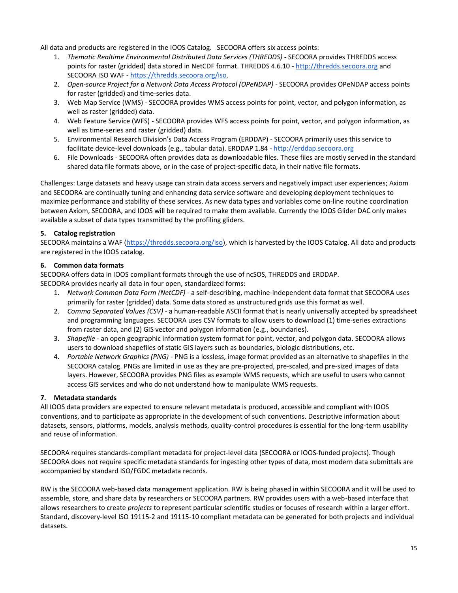All data and products are registered in the IOOS Catalog. SECOORA offers six access points:

- 1. *Thematic Realtime Environmental Distributed Data Services (THREDDS)* SECOORA provides THREDDS access points for raster (gridded) data stored in NetCDF format. THREDDS 4.6.10 - [http://thredds.secoora.org](http://thredds.secoora.org/) and SECOORA ISO WAF - [https://thredds.secoora.org/iso.](https://thredds.secoora.org/iso)
- 2. *Open-source Project for a Network Data Access Protocol (OPeNDAP) SECOORA provides OPeNDAP access points* for raster (gridded) and time-series data.
- 3. Web Map Service (WMS) SECOORA provides WMS access points for point, vector, and polygon information, as well as raster (gridded) data.
- 4. Web Feature Service (WFS) SECOORA provides WFS access points for point, vector, and polygon information, as well as time-series and raster (gridded) data.
- 5. Environmental Research Division's Data Access Program (ERDDAP) SECOORA primarily uses this service to facilitate device-level downloads (e.g., tabular data). ERDDAP 1.84 - [http://erddap.secoora.org](http://erddap.secoora.org/)
- 6. File Downloads SECOORA often provides data as downloadable files. These files are mostly served in the standard shared data file formats above, or in the case of project-specific data, in their native file formats.

Challenges: Large datasets and heavy usage can strain data access servers and negatively impact user experiences; Axiom and SECOORA are continually tuning and enhancing data service software and developing deployment techniques to maximize performance and stability of these services. As new data types and variables come on-line routine coordination between Axiom, SECOORA, and IOOS will be required to make them available. Currently the IOOS Glider DAC only makes available a subset of data types transmitted by the profiling gliders.

#### **5. Catalog registration**

SECOORA maintains a WAF [\(https://thredds.secoora.org/iso\)](https://thredds.secoora.org/iso), which is harvested by the IOOS Catalog. All data and products are registered in the IOOS catalog.

#### **6. Common data formats**

SECOORA offers data in IOOS compliant formats through the use of ncSOS, THREDDS and ERDDAP. SECOORA provides nearly all data in four open, standardized forms:

- 1. *Network Common Data Form (NetCDF)*  a self-describing, machine-independent data format that SECOORA uses primarily for raster (gridded) data. Some data stored as unstructured grids use this format as well.
- 2. *Comma Separated Values (CSV)* a human-readable ASCII format that is nearly universally accepted by spreadsheet and programming languages. SECOORA uses CSV formats to allow users to download (1) time-series extractions from raster data, and (2) GIS vector and polygon information (e.g., boundaries).
- 3. *Shapefile* an open geographic information system format for point, vector, and polygon data. SECOORA allows users to download shapefiles of static GIS layers such as boundaries, biologic distributions, etc.
- 4. *Portable Network Graphics (PNG)* PNG is a lossless, image format provided as an alternative to shapefiles in the SECOORA catalog. PNGs are limited in use as they are pre-projected, pre-scaled, and pre-sized images of data layers. However, SECOORA provides PNG files as example WMS requests, which are useful to users who cannot access GIS services and who do not understand how to manipulate WMS requests.

### **7. Metadata standards**

All IOOS data providers are expected to ensure relevant metadata is produced, accessible and compliant with IOOS conventions, and to participate as appropriate in the development of such conventions. Descriptive information about datasets, sensors, platforms, models, analysis methods, quality-control procedures is essential for the long-term usability and reuse of information.

SECOORA requires standards-compliant metadata for project-level data (SECOORA or IOOS-funded projects). Though SECOORA does not require specific metadata standards for ingesting other types of data, most modern data submittals are accompanied by standard ISO/FGDC metadata records.

RW is the SECOORA web-based data management application. RW is being phased in within SECOORA and it will be used to assemble, store, and share data by researchers or SECOORA partners. RW provides users with a web-based interface that allows researchers to create *projects* to represent particular scientific studies or focuses of research within a larger effort. Standard, discovery-level ISO 19115-2 and 19115-10 compliant metadata can be generated for both projects and individual datasets.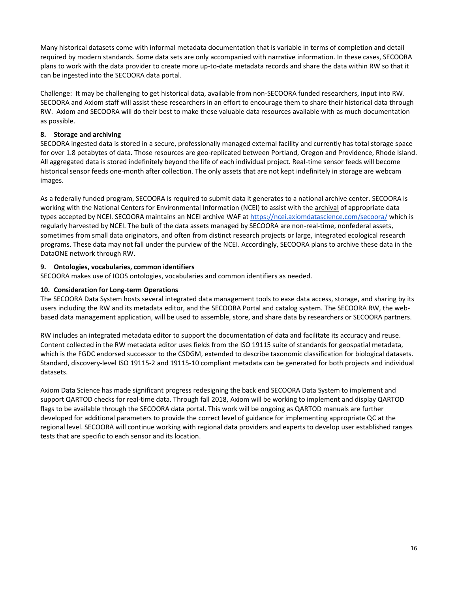Many historical datasets come with informal metadata documentation that is variable in terms of completion and detail required by modern standards. Some data sets are only accompanied with narrative information. In these cases, SECOORA plans to work with the data provider to create more up-to-date metadata records and share the data within RW so that it can be ingested into the SECOORA data portal.

Challenge: It may be challenging to get historical data, available from non-SECOORA funded researchers, input into RW. SECOORA and Axiom staff will assist these researchers in an effort to encourage them to share their historical data through RW. Axiom and SECOORA will do their best to make these valuable data resources available with as much documentation as possible.

#### **8. Storage and archiving**

SECOORA ingested data is stored in a secure, professionally managed external facility and currently has total storage space for over 1.8 petabytes of data. Those resources are geo-replicated between Portland, Oregon and Providence, Rhode Island. All aggregated data is stored indefinitely beyond the life of each individual project. Real-time sensor feeds will become historical sensor feeds one-month after collection. The only assets that are not kept indefinitely in storage are webcam images.

As a federally funded program, SECOORA is required to submit data it generates to a national archive center. SECOORA is working with the National Centers for Environmental Information (NCEI) to assist with the archival of appropriate data types accepted by NCEI. SECOORA maintains an NCEI archive WAF at<https://ncei.axiomdatascience.com/secoora/> which is regularly harvested by NCEI. The bulk of the data assets managed by SECOORA are non-real-time, nonfederal assets, sometimes from small data originators, and often from distinct research projects or large, integrated ecological research programs. These data may not fall under the purview of the NCEI. Accordingly, SECOORA plans to archive these data in the DataONE network through RW.

#### **9. Ontologies, vocabularies, common identifiers**

SECOORA makes use of IOOS ontologies, vocabularies and common identifiers as needed.

#### **10. Consideration for Long-term Operations**

The SECOORA Data System hosts several integrated data management tools to ease data access, storage, and sharing by its users including the RW and its metadata editor, and the SECOORA Portal and catalog system. The SECOORA RW, the webbased data management application, will be used to assemble, store, and share data by researchers or SECOORA partners.

RW includes an integrated metadata editor to support the documentation of data and facilitate its accuracy and reuse. Content collected in the RW metadata editor uses fields from the ISO 19115 suite of standards for geospatial metadata, which is the FGDC endorsed successor to the CSDGM, extended to describe taxonomic classification for biological datasets. Standard, discovery-level ISO 19115-2 and 19115-10 compliant metadata can be generated for both projects and individual datasets.

Axiom Data Science has made significant progress redesigning the back end SECOORA Data System to implement and support QARTOD checks for real-time data. Through fall 2018, Axiom will be working to implement and display QARTOD flags to be available through the SECOORA data portal. This work will be ongoing as QARTOD manuals are further developed for additional parameters to provide the correct level of guidance for implementing appropriate QC at the regional level. SECOORA will continue working with regional data providers and experts to develop user established ranges tests that are specific to each sensor and its location.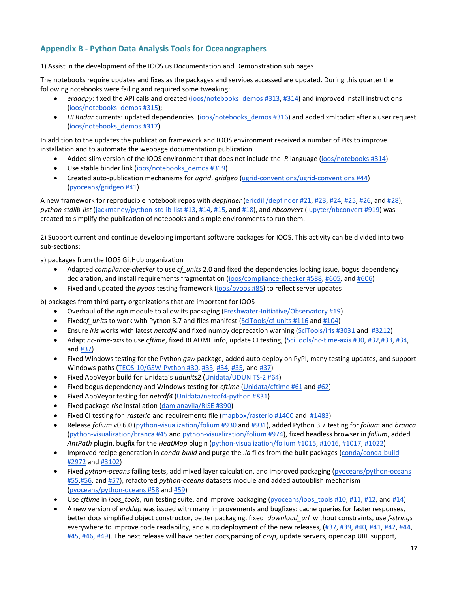## **Appendix B - Python Data Analysis Tools for Oceanographers**

1) Assist in the development of the IOOS.us Documentation and Demonstration sub pages

The notebooks require updates and fixes as the packages and services accessed are updated. During this quarter the following notebooks were failing and required some tweaking:

- erddapy: fixed the API calls and created [\(ioos/notebooks\\_demos #313,](https://github.com/ioos/notebooks_demos/pull/313) [#314\)](https://github.com/ioos/notebooks_demos/pull/314) and improved install instructions [\(ioos/notebooks\\_demos #315\)](https://github.com/ioos/notebooks_demos/pull/315);
- *HFRadar* currents: updated dependencies [\(ioos/notebooks\\_demos #316\)](https://github.com/ioos/notebooks_demos/pull/316) and added xmltodict after a user request [\(ioos/notebooks\\_demos #317\)](https://github.com/ioos/notebooks_demos/pull/317).

In addition to the updates the publication framework and IOOS environment received a number of PRs to improve installation and to automate the webpage documentation publication.

- Added slim version of the IOOS environment that does not include the *R* language [\(ioos/notebooks #314\)](https://github.com/ioos/notebooks_demos/pull/314)
- Use stable binder link [\(ioos/notebooks\\_demos #319\)](https://github.com/ioos/notebooks_demos/pull/319)
- Created auto-publication mechanisms for *ugrid*, *gridgeo* [\(ugrid-conventions/ugrid-conventions #44\)](https://github.com/ugrid-conventions/ugrid-conventions/pull/44) [\(pyoceans/gridgeo #41\)](https://github.com/pyoceans/gridgeo/pull/41)

A new framework for reproducible notebook repos with *depfinder* [\(ericdill/depfinder #21,](https://github.com/ericdill/depfinder/pull/21) [#23,](https://github.com/ericdill/depfinder/pull/23) [#24,](https://github.com/ericdill/depfinder/pull/24) [#25,](https://github.com/ericdill/depfinder/pull/25) [#26,](https://github.com/ericdill/depfinder/pull/26) and [#28\)](https://github.com/ericdill/depfinder/pull/28), *python-stdlib-list* [\(jackmaney/python-stdlib-list #13,](https://github.com/jackmaney/python-stdlib-list/pull/13) [#14,](https://github.com/jackmaney/python-stdlib-list/pull/14) [#15,](https://github.com/jackmaney/python-stdlib-list/pull/15) and [#18\)](https://github.com/jackmaney/python-stdlib-list/pull/18), and *nbconvert* [\(jupyter/nbconvert #919\)](https://github.com/jupyter/nbconvert/pull/919) was created to simplify the publication of notebooks and simple environments to run them.

2) Support current and continue developing important software packages for IOOS. This activity can be divided into two sub-sections:

a) packages from the IOOS GitHub organization

- Adapted *compliance-checker* to use *cf\_units* 2.0 and fixed the dependencies locking issue, bogus dependency declaration, and install requirements fragmentation [\(ioos/compliance-checker #588,](https://github.com/ioos/compliance-checker/pull/588) [#605,](https://github.com/ioos/compliance-checker/pull/605) an[d #606\)](https://github.com/ioos/compliance-checker/pull/606)
- Fixed and updated the *pyoos* testing framework [\(ioos/pyoos #85\)](https://github.com/ioos/pyoos/pull/85) to reflect server updates

b) packages from third party organizations that are important for IOOS

- Overhaul of the *ogh* module to allow its packaging [\(Freshwater-Initiative/Observatory #19\)](https://github.com/Freshwater-Initiative/Observatory/pull/19)
- Fixed*cf\_units* to work with Python 3.7 and files manifest [\(SciTools/cf-units #116](https://github.com/SciTools/cf-units/pull/116) and [#104\)](https://github.com/SciTools/cf_units/pull/104)
- Ensure *iris* works with latest *netcdf4* and fixed numpy deprecation warning [\(SciTools/iris #3031](https://github.com/SciTools/iris/pull/3031) and [#3212\)](https://github.com/SciTools/iris/pull/3212)
- Adapt *nc-time-axis* to use *cftime*, fixed README info, update CI testing, [\(SciTools/nc-time-axis #30,](https://github.com/SciTools/nc-time-axis/pull/30) [#32](https://github.com/SciTools/nc-time-axis/pull/32)[,#33,](https://github.com/SciTools/nc-time-axis/pull/33) [#34,](https://github.com/SciTools/nc-time-axis/pull/34)  an[d #37\)](https://github.com/SciTools/nc-time-axis/pull/37)
- Fixed Windows testing for the Python *gsw* package, added auto deploy on PyPI, many testing updates, and support Windows paths [\(TEOS-10/GSW-Python #30,](https://github.com/TEOS-10/GSW-Python/pull/30) [#33,](https://github.com/TEOS-10/GSW-Python/pull/33) [#34,](https://github.com/TEOS-10/GSW-Python/pull/34) [#35,](https://github.com/TEOS-10/GSW-Python/pull/35) and [#37\)](https://github.com/TEOS-10/GSW-Python/pull/37)
- Fixed AppVeyor build for Unidata's *udunits2* [\(Unidata/UDUNITS-2 #64\)](https://github.com/Unidata/UDUNITS-2/pull/64)
- Fixed bogus dependency and Windows testing for *cftime* [\(Unidata/cftime #61](https://github.com/Unidata/cftime/pull/61) an[d #62\)](https://github.com/Unidata/cftime/pull/62)
- Fixed AppVeyor testing for *netcdf4* [\(Unidata/netcdf4-python #831\)](https://github.com/Unidata/netcdf4-python/pull/831)
- Fixed package *rise* installation [\(damianavila/RISE #390\)](https://github.com/damianavila/RISE/pull/390)
- Fixed CI testing for *rasterio* and requirements file [\(mapbox/rasterio #1400](https://github.com/mapbox/rasterio/pull/1400) an[d #1483\)](https://github.com/mapbox/rasterio/pull/1483)
- Release *folium* v0.6.0 [\(python-visualization/folium #930](https://github.com/python-visualization/folium/pull/930) and [#931\)](https://github.com/python-visualization/folium/pull/931), added Python 3.7 testing for *folium* and *branca* [\(python-visualization/branca #45](https://github.com/python-visualization/branca/pull/45) and [python-visualization/folium #974\)](https://github.com/python-visualization/folium/pull/974), fixed headless browser in *folium*, added *AntPath* plugin, bugfix for the *HeatMap* plugin [\(python-visualization/folium #1015,](https://github.com/python-visualization/folium/pull/1015) [#1016,](https://github.com/python-visualization/folium/pull/1016) [#1017,](https://github.com/python-visualization/folium/pull/1017) [#1022\)](https://github.com/python-visualization/folium/pull/1022)
- Improved recipe generation in *conda-build* and purge the *.la* files from the built packages [\(conda/conda-build](https://github.com/conda/conda-build/pull/2972)  [#2972](https://github.com/conda/conda-build/pull/2972) and [#3102\)](https://github.com/conda/conda-build/pull/3102)
- Fixed *python-oceans* failing tests, add mixed layer calculation, and improved packaging [\(pyoceans/python-oceans](https://github.com/pyoceans/python-oceans/pull/55)  [#55](https://github.com/pyoceans/python-oceans/pull/55)[,#56,](https://github.com/pyoceans/python-oceans/pull/56) and [#57\)](https://github.com/pyoceans/python-oceans/pull/57), refactored *python-oceans* datasets module and added autoublish mechanism [\(pyoceans/python-oceans #58](https://github.com/pyoceans/python-oceans/pull/58) an[d #59\)](https://github.com/pyoceans/python-oceans/pull/59)
- Use *cftime* in *ioos* tools, run testing suite, and improve packaging (pyoceans/ioos tools #10, [#11,](https://github.com/pyoceans/ioos_tools/pull/11) [#12,](https://github.com/pyoceans/ioos_tools/pull/12) and [#14\)](https://github.com/pyoceans/ioos_tools/pull/14)
- A new version of *erddap* was issued with many improvements and bugfixes: cache queries for faster responses, better docs simplified object constructor, better packaging, fixed *download\_url* without constraints, use *f-strings* everywhere to improve code readability, and auto deployment of the new releases, [\(#37,](https://github.com/pyoceans/erddapy/pull/37) [#39,](https://github.com/pyoceans/erddapy/pull/39) [#40,](https://github.com/pyoceans/erddapy/pull/40) [#41,](https://github.com/pyoceans/erddapy/pull/41) [#42,](https://github.com/pyoceans/erddapy/pull/42) [#44,](https://github.com/pyoceans/erddapy/pull/44) [#45,](https://github.com/pyoceans/erddapy/pull/45) [#46,](https://github.com/pyoceans/erddapy/pull/46) [#49\)](https://github.com/pyoceans/erddapy/pull/49). The next release will have better docs,parsing of *csvp*, update servers, opendap URL support,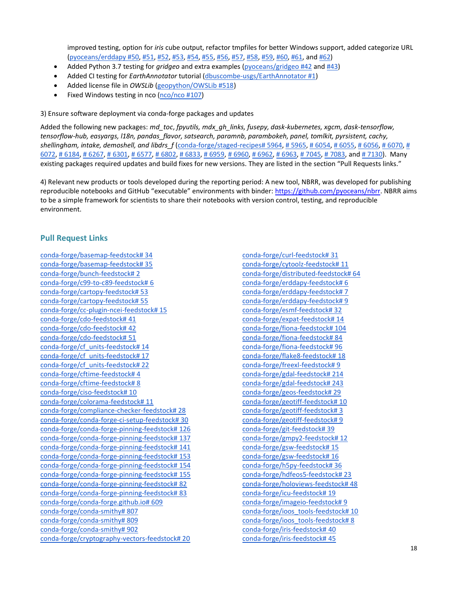improved testing, option for *iris* cube output, refactor tmpfiles for better Windows support, added categorize URL [\(pyoceans/erddapy #50,](https://github.com/pyoceans/erddapy/pull/50) [#51,](https://github.com/pyoceans/erddapy/pull/51) [#52,](https://github.com/pyoceans/erddapy/pull/52) [#53,](https://github.com/pyoceans/erddapy/pull/53) [#54,](https://github.com/pyoceans/erddapy/pull/54) [#55,](https://github.com/pyoceans/erddapy/pull/55) [#56,](https://github.com/pyoceans/erddapy/pull/56) [#57,](https://github.com/pyoceans/erddapy/pull/57) [#58,](https://github.com/pyoceans/erddapy/pull/58) [#59,](https://github.com/pyoceans/erddapy/pull/59) [#60,](https://github.com/pyoceans/erddapy/pull/60) [#61,](https://github.com/pyoceans/erddapy/pull/61) and [#62\)](https://github.com/pyoceans/erddapy/pull/62)

- Added Python 3.7 testing for *gridgeo* and extra examples [\(pyoceans/gridgeo #42](https://github.com/pyoceans/gridgeo/pull/42) and [#43\)](https://github.com/pyoceans/gridgeo/pull/43)
- Added CI testing for *EarthAnnotator* tutorial [\(dbuscombe-usgs/EarthAnnotator #1\)](https://github.com/dbuscombe-usgs/EarthAnnotator/pull/1)
- Added license file in *OWSLib* [\(geopython/OWSLib #518\)](https://github.com/geopython/OWSLib/pull/518)
- Fixed Windows testing in nco [\(nco/nco #107\)](https://github.com/nco/nco/pull/107)

3) Ensure software deployment via conda-forge packages and updates

Added the following new packages: *md\_toc*, *fpyutils, mdx\_gh\_links, fusepy, dask-kubernetes, xgcm, dask-tensorflow, tensorflow-hub, easyargs, l18n, pandas\_flavor, satsearch, paramnb, parambokeh, panel, tomlkit, pyrsistent, cachy, shellingham, intake, demoshell, and libdrs\_f* [\(conda-forge/staged-recipes# 5964,](https://github.com/conda-forge/staged-recipes/pull/5964) [# 5965,](https://github.com/conda-forge/staged-recipes/pull/5965) [# 6054,](https://github.com/conda-forge/staged-recipes/pull/6054) [# 6055,](https://github.com/conda-forge/staged-recipes/pull/6055) [# 6056,](https://github.com/conda-forge/staged-recipes/pull/6056) [# 6070,](https://github.com/conda-forge/staged-recipes/pull/6070) [#](https://github.com/conda-forge/staged-recipes/pull/6072)   $6072, \# 6184, \# 6267, \# 6301, \# 6577, \# 6802, \# 6833, \# 6959, \# 6960, \# 6962, \# 6963, \# 7045, \# 7083, \# 641, \# 7130$  $6072, \# 6184, \# 6267, \# 6301, \# 6577, \# 6802, \# 6833, \# 6959, \# 6960, \# 6962, \# 6963, \# 7045, \# 7083, \# 641, \# 7130$ . Many existing packages required updates and build fixes for new versions. They are listed in the section "Pull Requests links."

4) Relevant new products or tools developed during the reporting period: A new tool, NBRR, was developed for publishing reproducible notebooks and GitHub "executable" environments with binder: [https://github.com/pyoceans/nbrr.](https://github.com/pyoceans/nbrr) NBRR aims to be a simple framework for scientists to share their notebooks with version control, testing, and reproducible environment.

### **Pull Request Links**

[conda-forge/basemap-feedstock# 34](https://github.com/conda-forge/basemap-feedstock/pull/34) [conda-forge/basemap-feedstock# 35](https://github.com/conda-forge/basemap-feedstock/pull/35) [conda-forge/bunch-feedstock# 2](https://github.com/conda-forge/bunch-feedstock/pull/2) [conda-forge/c99-to-c89-feedstock# 6](https://github.com/conda-forge/c99-to-c89-feedstock/pull/6) [conda-forge/cartopy-feedstock# 53](https://github.com/conda-forge/cartopy-feedstock/pull/53) [conda-forge/cartopy-feedstock# 55](https://github.com/conda-forge/cartopy-feedstock/pull/55) [conda-forge/cc-plugin-ncei-feedstock# 15](https://github.com/conda-forge/cc-plugin-ncei-feedstock/pull/15) [conda-forge/cdo-feedstock# 41](https://github.com/conda-forge/cdo-feedstock/pull/41) [conda-forge/cdo-feedstock# 42](https://github.com/conda-forge/cdo-feedstock/pull/42) [conda-forge/cdo-feedstock# 51](https://github.com/conda-forge/cdo-feedstock/pull/51) [conda-forge/cf\\_units-feedstock# 14](https://github.com/conda-forge/cf_units-feedstock/pull/14) [conda-forge/cf\\_units-feedstock# 17](https://github.com/conda-forge/cf_units-feedstock/pull/17) [conda-forge/cf\\_units-feedstock# 22](https://github.com/conda-forge/cf_units-feedstock/pull/22) conda-forge/cftime-feedstock#4 [conda-forge/cftime-feedstock# 8](https://github.com/conda-forge/cftime-feedstock/pull/8) [conda-forge/ciso-feedstock# 10](https://github.com/conda-forge/ciso-feedstock/pull/10) [conda-forge/colorama-feedstock# 11](https://github.com/conda-forge/colorama-feedstock/pull/11) [conda-forge/compliance-checker-feedstock# 28](https://github.com/conda-forge/compliance-checker-feedstock/pull/28) [conda-forge/conda-forge-ci-setup-feedstock# 30](https://github.com/conda-forge/conda-forge-ci-setup-feedstock/pull/30) [conda-forge/conda-forge-pinning-feedstock# 126](https://github.com/conda-forge/conda-forge-pinning-feedstock/pull/126) [conda-forge/conda-forge-pinning-feedstock# 137](https://github.com/conda-forge/conda-forge-pinning-feedstock/pull/137) [conda-forge/conda-forge-pinning-feedstock# 141](https://github.com/conda-forge/conda-forge-pinning-feedstock/pull/141) [conda-forge/conda-forge-pinning-feedstock# 153](https://github.com/conda-forge/conda-forge-pinning-feedstock/pull/153) [conda-forge/conda-forge-pinning-feedstock# 154](https://github.com/conda-forge/conda-forge-pinning-feedstock/pull/154) [conda-forge/conda-forge-pinning-feedstock# 155](https://github.com/conda-forge/conda-forge-pinning-feedstock/pull/155) [conda-forge/conda-forge-pinning-feedstock# 82](https://github.com/conda-forge/conda-forge-pinning-feedstock/pull/82) [conda-forge/conda-forge-pinning-feedstock# 83](https://github.com/conda-forge/conda-forge-pinning-feedstock/pull/83) [conda-forge/conda-forge.github.io# 609](https://github.com/conda-forge/conda-forge.github.io/pull/609) [conda-forge/conda-smithy# 807](https://github.com/conda-forge/conda-smithy/pull/807) [conda-forge/conda-smithy# 809](https://github.com/conda-forge/conda-smithy/pull/809) [conda-forge/conda-smithy# 902](https://github.com/conda-forge/conda-smithy/pull/902) [conda-forge/cryptography-vectors-feedstock# 20](https://github.com/conda-forge/cryptography-vectors-feedstock/pull/20) [conda-forge/curl-feedstock# 31](https://github.com/conda-forge/curl-feedstock/pull/31) [conda-forge/cytoolz-feedstock# 11](https://github.com/conda-forge/cytoolz-feedstock/pull/11) [conda-forge/distributed-feedstock# 64](https://github.com/conda-forge/distributed-feedstock/pull/64) [conda-forge/erddapy-feedstock# 6](https://github.com/conda-forge/erddapy-feedstock/pull/6) [conda-forge/erddapy-feedstock# 7](https://github.com/conda-forge/erddapy-feedstock/pull/7) [conda-forge/erddapy-feedstock# 9](https://github.com/conda-forge/erddapy-feedstock/pull/9) [conda-forge/esmf-feedstock# 32](https://github.com/conda-forge/esmf-feedstock/pull/32) [conda-forge/expat-feedstock# 14](https://github.com/conda-forge/expat-feedstock/pull/14) [conda-forge/fiona-feedstock# 104](https://github.com/conda-forge/fiona-feedstock/pull/104) [conda-forge/fiona-feedstock# 84](https://github.com/conda-forge/fiona-feedstock/pull/84) [conda-forge/fiona-feedstock# 96](https://github.com/conda-forge/fiona-feedstock/pull/96) [conda-forge/flake8-feedstock# 18](https://github.com/conda-forge/flake8-feedstock/pull/18) [conda-forge/freexl-feedstock# 9](https://github.com/conda-forge/freexl-feedstock/pull/9) [conda-forge/gdal-feedstock# 214](https://github.com/conda-forge/gdal-feedstock/pull/214) [conda-forge/gdal-feedstock# 243](https://github.com/conda-forge/gdal-feedstock/pull/243) [conda-forge/geos-feedstock# 29](https://github.com/conda-forge/geos-feedstock/pull/29) [conda-forge/geotiff-feedstock# 10](https://github.com/conda-forge/geotiff-feedstock/pull/10) [conda-forge/geotiff-feedstock# 3](https://github.com/conda-forge/geotiff-feedstock/pull/3) [conda-forge/geotiff-feedstock# 9](https://github.com/conda-forge/geotiff-feedstock/pull/9) [conda-forge/git-feedstock# 39](https://github.com/conda-forge/git-feedstock/pull/39) [conda-forge/gmpy2-feedstock# 12](https://github.com/conda-forge/gmpy2-feedstock/pull/12) [conda-forge/gsw-feedstock# 15](https://github.com/conda-forge/gsw-feedstock/pull/15) [conda-forge/gsw-feedstock# 16](https://github.com/conda-forge/gsw-feedstock/pull/16) [conda-forge/h5py-feedstock# 36](https://github.com/conda-forge/h5py-feedstock/pull/36) [conda-forge/hdfeos5-feedstock# 23](https://github.com/conda-forge/hdfeos5-feedstock/pull/23) [conda-forge/holoviews-feedstock# 48](https://github.com/conda-forge/holoviews-feedstock/pull/48) [conda-forge/icu-feedstock# 19](https://github.com/conda-forge/icu-feedstock/pull/19) [conda-forge/imageio-feedstock# 9](https://github.com/conda-forge/imageio-feedstock/pull/9) [conda-forge/ioos\\_tools-feedstock# 10](https://github.com/conda-forge/ioos_tools-feedstock/pull/10) [conda-forge/ioos\\_tools-feedstock# 8](https://github.com/conda-forge/ioos_tools-feedstock/pull/8) [conda-forge/iris-feedstock# 40](https://github.com/conda-forge/iris-feedstock/pull/40) [conda-forge/iris-feedstock# 45](https://github.com/conda-forge/iris-feedstock/pull/45)